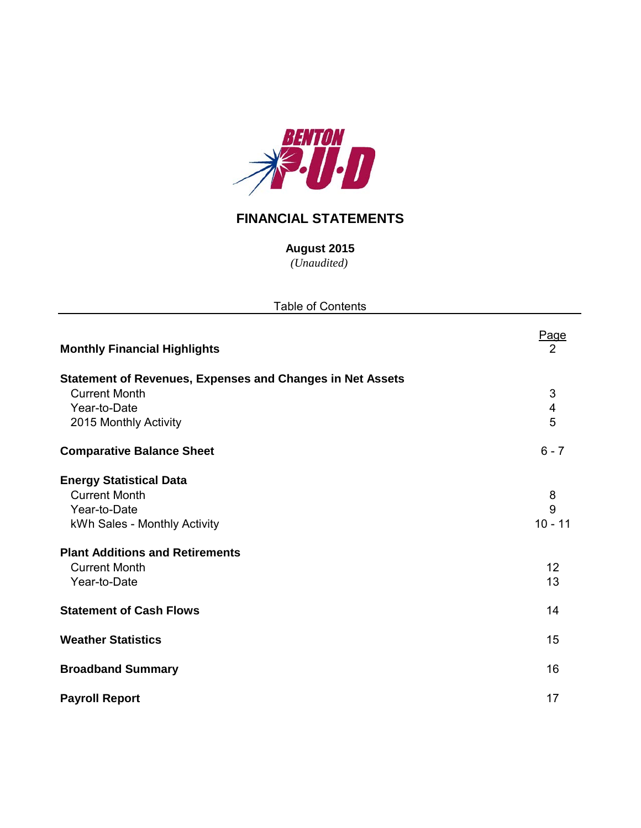

## **FINANCIAL STATEMENTS**

*(Unaudited)* **August 2015**

| <b>Table of Contents</b>                                                                                                                                                                 |                                   |  |  |  |  |  |  |  |
|------------------------------------------------------------------------------------------------------------------------------------------------------------------------------------------|-----------------------------------|--|--|--|--|--|--|--|
| <b>Monthly Financial Highlights</b>                                                                                                                                                      | Page<br>2                         |  |  |  |  |  |  |  |
| <b>Statement of Revenues, Expenses and Changes in Net Assets</b><br><b>Current Month</b><br>Year-to-Date<br>2015 Monthly Activity                                                        | 3<br>$\overline{\mathbf{4}}$<br>5 |  |  |  |  |  |  |  |
| <b>Comparative Balance Sheet</b>                                                                                                                                                         | $6 - 7$                           |  |  |  |  |  |  |  |
| <b>Energy Statistical Data</b><br><b>Current Month</b><br>Year-to-Date<br>kWh Sales - Monthly Activity<br><b>Plant Additions and Retirements</b><br><b>Current Month</b><br>Year-to-Date | 8<br>9<br>$10 - 11$<br>12<br>13   |  |  |  |  |  |  |  |
| <b>Statement of Cash Flows</b>                                                                                                                                                           | 14                                |  |  |  |  |  |  |  |
| <b>Weather Statistics</b>                                                                                                                                                                | 15                                |  |  |  |  |  |  |  |
| <b>Broadband Summary</b>                                                                                                                                                                 | 16                                |  |  |  |  |  |  |  |
| <b>Payroll Report</b>                                                                                                                                                                    | 17                                |  |  |  |  |  |  |  |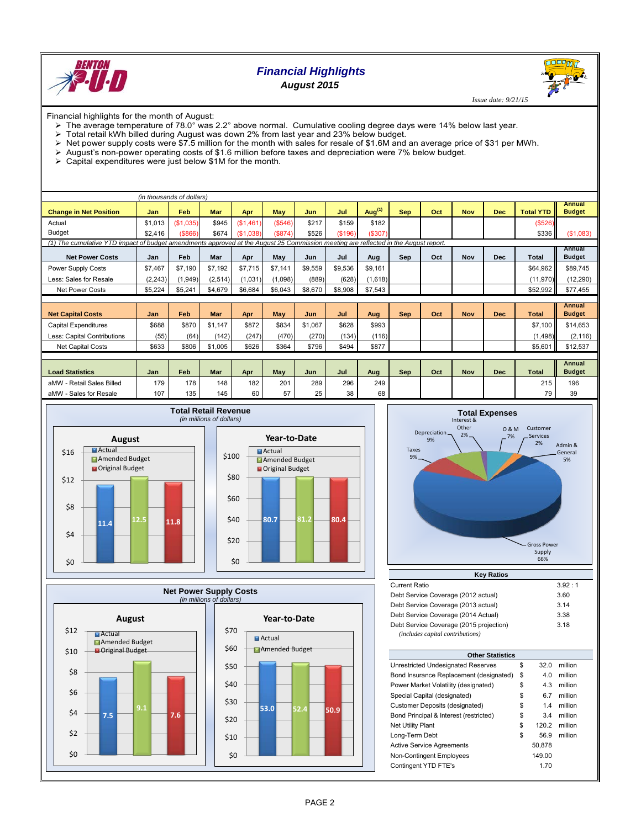

## *Financial Highlights August 2015*

 *Issue date: 9/21/15*

Financial highlights for the month of August:

- $\triangleright$  The average temperature of 78.0° was 2.2° above normal. Cumulative cooling degree days were 14% below last year.
- $\triangleright$  Total retail kWh billed during August was down 2% from last year and 23% below budget.<br> $\triangleright$  Net power supply costs were \$7.5 million for the month with sales for resale of \$1.6M and
- Net power supply costs were \$7.5 million for the month with sales for resale of \$1.6M and an average price of \$31 per MWh.
- August's non-power operating costs of \$1.6 million before taxes and depreciation were 7% below budget.
- > Capital expenditures were just below \$1M for the month.

| (in thousands of dollars)                                                                                                           |            |           |            |           |         |         |         |           |            |     |            |            |                  |                                |
|-------------------------------------------------------------------------------------------------------------------------------------|------------|-----------|------------|-----------|---------|---------|---------|-----------|------------|-----|------------|------------|------------------|--------------------------------|
| <b>Change in Net Position</b>                                                                                                       | <b>Jan</b> | Feb       | <b>Mar</b> | Apr       | May     | Jun     | Jul     | Aug $(1)$ | <b>Sep</b> | Oct | <b>Nov</b> | <b>Dec</b> | <b>Total YTD</b> | Annual<br><b>Budget</b>        |
| Actual                                                                                                                              | \$1,013    | (\$1,035) | \$945      | (\$1,461) | (\$546) | \$217   | \$159   | \$182     |            |     |            |            | (\$526)          |                                |
| <b>Budget</b>                                                                                                                       | \$2,416    | ( \$866)  | \$674      | (\$1,038) | (\$874) | \$526   | (\$196) | (\$307)   |            |     |            |            | \$336            | (\$1,083)                      |
| (1) The cumulative YTD impact of budget amendments approved at the August 25 Commission meeting are reflected in the August report. |            |           |            |           |         |         |         |           |            |     |            |            |                  |                                |
| <b>Net Power Costs</b>                                                                                                              | Jan        | Feb       | Mar        | Apr       | May     | Jun     | Jul     | Aug       | <b>Sep</b> | Oct | Nov        | <b>Dec</b> | <b>Total</b>     | Annual<br><b>Budget</b>        |
| Power Supply Costs                                                                                                                  | \$7,467    | \$7.190   | \$7,192    | \$7,715   | \$7,141 | \$9,559 | \$9,536 | \$9,161   |            |     |            |            | \$64,962         | \$89,745                       |
| Less: Sales for Resale                                                                                                              | (2, 243)   | (1, 949)  | (2,514)    | (1,031)   | (1.098) | (889)   | (628)   | (1,618)   |            |     |            |            | (11, 970)        | (12, 290)                      |
| <b>Net Power Costs</b>                                                                                                              | \$5,224    | \$5,241   | \$4,679    | \$6,684   | \$6,043 | \$8,670 | \$8,908 | \$7,543   |            |     |            |            | \$52,992         | \$77,455                       |
|                                                                                                                                     |            |           |            |           |         |         |         |           |            |     |            |            |                  |                                |
| <b>Net Capital Costs</b>                                                                                                            | Jan        | Feb       | <b>Mar</b> | Apr       | May     | Jun     | Jul     | Aug       | <b>Sep</b> | Oct | <b>Nov</b> | <b>Dec</b> | <b>Total</b>     | <b>Annual</b><br><b>Budget</b> |
| <b>Capital Expenditures</b>                                                                                                         | \$688      | \$870     | \$1.147    | \$872     | \$834   | \$1.067 | \$628   | \$993     |            |     |            |            | \$7.100          | \$14,653                       |
| Less: Capital Contributions                                                                                                         | (55)       | (64)      | (142)      | (247)     | (470)   | (270)   | (134)   | (116)     |            |     |            |            | (1,498)          | (2, 116)                       |
| <b>Net Capital Costs</b>                                                                                                            | \$633      | \$806     | \$1,005    | \$626     | \$364   | \$796   | \$494   | \$877     |            |     |            |            | \$5,601          | \$12,537                       |
|                                                                                                                                     |            |           |            |           |         |         |         |           |            |     |            |            |                  |                                |
| <b>Load Statistics</b>                                                                                                              | Jan        | Feb       | Mar        | Apr       | May     | Jun     | Jul     | Aug       | <b>Sep</b> | Oct | <b>Nov</b> | <b>Dec</b> | <b>Total</b>     | Annual<br><b>Budget</b>        |
| aMW - Retail Sales Billed                                                                                                           | 179        | 178       | 148        | 182       | 201     | 289     | 296     | 249       |            |     |            |            | 215              | 196                            |
| aMW - Sales for Resale                                                                                                              | 107        | 135       | 145        | 60        | 57      | 25      | 38      | 68        |            |     |            |            | 79               | 39                             |









| <b>Key Ratios</b>                       |        |  |  |  |  |  |  |  |  |  |
|-----------------------------------------|--------|--|--|--|--|--|--|--|--|--|
| <b>Current Ratio</b>                    | 3.92:1 |  |  |  |  |  |  |  |  |  |
| Debt Service Coverage (2012 actual)     | 3.60   |  |  |  |  |  |  |  |  |  |
| Debt Service Coverage (2013 actual)     | 3.14   |  |  |  |  |  |  |  |  |  |
| Debt Service Coverage (2014 Actual)     | 3.38   |  |  |  |  |  |  |  |  |  |
| Debt Service Coverage (2015 projection) | 3.18   |  |  |  |  |  |  |  |  |  |
| (includes capital contributions)        |        |  |  |  |  |  |  |  |  |  |

| <b>Other Statistics</b>                 |    |        |         |  |  |  |  |  |  |  |
|-----------------------------------------|----|--------|---------|--|--|--|--|--|--|--|
| Unrestricted Undesignated Reserves      | \$ | 32.0   | million |  |  |  |  |  |  |  |
| Bond Insurance Replacement (designated) | \$ | 4.0    | million |  |  |  |  |  |  |  |
| Power Market Volatility (designated)    | \$ | 4.3    | million |  |  |  |  |  |  |  |
| Special Capital (designated)            | \$ | 6.7    | million |  |  |  |  |  |  |  |
| Customer Deposits (designated)          | \$ | 1.4    | million |  |  |  |  |  |  |  |
| Bond Principal & Interest (restricted)  | \$ | 3.4    | million |  |  |  |  |  |  |  |
| <b>Net Utility Plant</b>                | \$ | 120.2  | million |  |  |  |  |  |  |  |
| Long-Term Debt                          | \$ | 56.9   | million |  |  |  |  |  |  |  |
| <b>Active Service Agreements</b>        |    | 50.878 |         |  |  |  |  |  |  |  |
| <b>Non-Contingent Employees</b>         |    | 149.00 |         |  |  |  |  |  |  |  |
| Contingent YTD FTE's                    |    | 1.70   |         |  |  |  |  |  |  |  |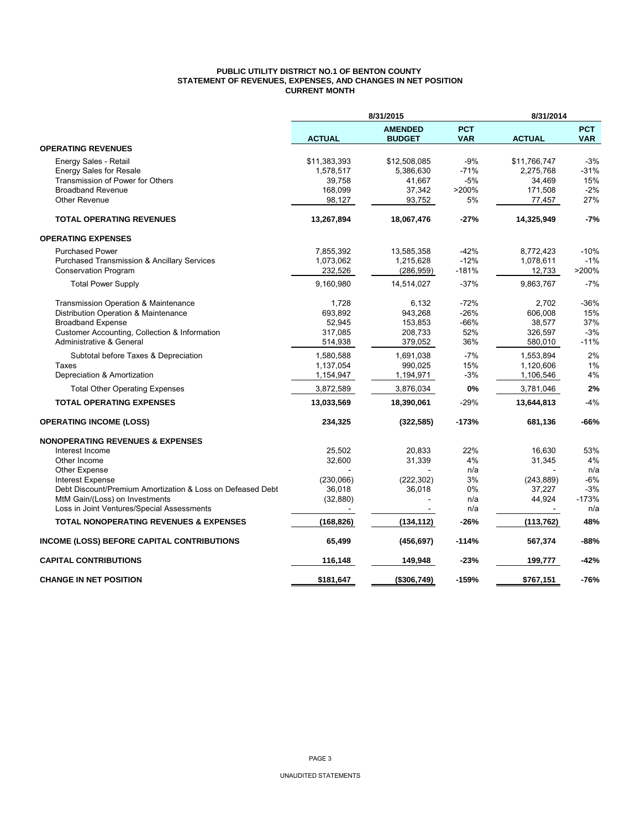#### **PUBLIC UTILITY DISTRICT NO.1 OF BENTON COUNTY STATEMENT OF REVENUES, EXPENSES, AND CHANGES IN NET POSITION CURRENT MONTH**

|                                                            |               |                                 | 8/31/2014                |               |                          |
|------------------------------------------------------------|---------------|---------------------------------|--------------------------|---------------|--------------------------|
|                                                            | <b>ACTUAL</b> | <b>AMENDED</b><br><b>BUDGET</b> | <b>PCT</b><br><b>VAR</b> | <b>ACTUAL</b> | <b>PCT</b><br><b>VAR</b> |
| <b>OPERATING REVENUES</b>                                  |               |                                 |                          |               |                          |
| Energy Sales - Retail                                      | \$11,383,393  | \$12,508,085                    | $-9%$                    | \$11,766,747  | $-3%$                    |
| <b>Energy Sales for Resale</b>                             | 1,578,517     | 5,386,630                       | $-71%$                   | 2,275,768     | $-31%$                   |
| Transmission of Power for Others                           | 39,758        | 41,667                          | $-5%$                    | 34,469        | 15%                      |
| <b>Broadband Revenue</b>                                   | 168,099       | 37,342                          | >200%                    | 171,508       | $-2%$                    |
| Other Revenue                                              | 98,127        | 93,752                          | 5%                       | 77,457        | 27%                      |
| <b>TOTAL OPERATING REVENUES</b>                            | 13,267,894    | 18,067,476                      | $-27%$                   | 14,325,949    | $-7%$                    |
| <b>OPERATING EXPENSES</b>                                  |               |                                 |                          |               |                          |
| <b>Purchased Power</b>                                     | 7,855,392     | 13,585,358                      | $-42%$                   | 8,772,423     | $-10%$                   |
| <b>Purchased Transmission &amp; Ancillary Services</b>     | 1,073,062     | 1,215,628                       | $-12%$                   | 1,078,611     | $-1%$                    |
| <b>Conservation Program</b>                                | 232,526       | (286, 959)                      | $-181%$                  | 12,733        | >200%                    |
| <b>Total Power Supply</b>                                  | 9,160,980     | 14,514,027                      | $-37%$                   | 9,863,767     | $-7%$                    |
| Transmission Operation & Maintenance                       | 1,728         | 6.132                           | $-72%$                   | 2,702         | $-36%$                   |
| Distribution Operation & Maintenance                       | 693,892       | 943,268                         | $-26%$                   | 606,008       | 15%                      |
| <b>Broadband Expense</b>                                   | 52,945        | 153,853                         | $-66%$                   | 38,577        | 37%                      |
| Customer Accounting, Collection & Information              | 317,085       | 208,733                         | 52%                      | 326,597       | $-3%$                    |
| Administrative & General                                   | 514,938       | 379,052                         | 36%                      | 580,010       | $-11%$                   |
| Subtotal before Taxes & Depreciation                       | 1,580,588     | 1,691,038                       | $-7%$                    | 1,553,894     | 2%                       |
| Taxes                                                      | 1,137,054     | 990,025                         | 15%                      | 1,120,606     | 1%                       |
| Depreciation & Amortization                                | 1,154,947     | 1,194,971                       | $-3%$                    | 1,106,546     | 4%                       |
| <b>Total Other Operating Expenses</b>                      | 3,872,589     | 3,876,034                       | 0%                       | 3,781,046     | 2%                       |
| <b>TOTAL OPERATING EXPENSES</b>                            | 13,033,569    | 18,390,061                      | $-29%$                   | 13,644,813    | $-4%$                    |
| <b>OPERATING INCOME (LOSS)</b>                             | 234,325       | (322, 585)                      | $-173%$                  | 681,136       | -66%                     |
| <b>NONOPERATING REVENUES &amp; EXPENSES</b>                |               |                                 |                          |               |                          |
| Interest Income                                            | 25,502        | 20,833                          | 22%                      | 16,630        | 53%                      |
| Other Income                                               | 32,600        | 31,339                          | 4%                       | 31,345        | 4%                       |
| Other Expense                                              |               |                                 | n/a                      |               | n/a                      |
| <b>Interest Expense</b>                                    | (230,066)     | (222, 302)                      | 3%                       | (243, 889)    | $-6%$                    |
| Debt Discount/Premium Amortization & Loss on Defeased Debt | 36,018        | 36,018                          | 0%                       | 37,227        | $-3%$                    |
| MtM Gain/(Loss) on Investments                             | (32, 880)     |                                 | n/a                      | 44,924        | $-173%$                  |
| Loss in Joint Ventures/Special Assessments                 |               |                                 | n/a                      |               | n/a                      |
| <b>TOTAL NONOPERATING REVENUES &amp; EXPENSES</b>          | (168, 826)    | (134, 112)                      | $-26%$                   | (113, 762)    | 48%                      |
| INCOME (LOSS) BEFORE CAPITAL CONTRIBUTIONS                 | 65,499        | (456, 697)                      | $-114%$                  | 567,374       | -88%                     |
| <b>CAPITAL CONTRIBUTIONS</b>                               | 116,148       | 149,948                         | -23%                     | 199,777       | -42%                     |
| <b>CHANGE IN NET POSITION</b>                              | \$181.647     | (\$306,749)                     | $-159%$                  | \$767.151     | $-76%$                   |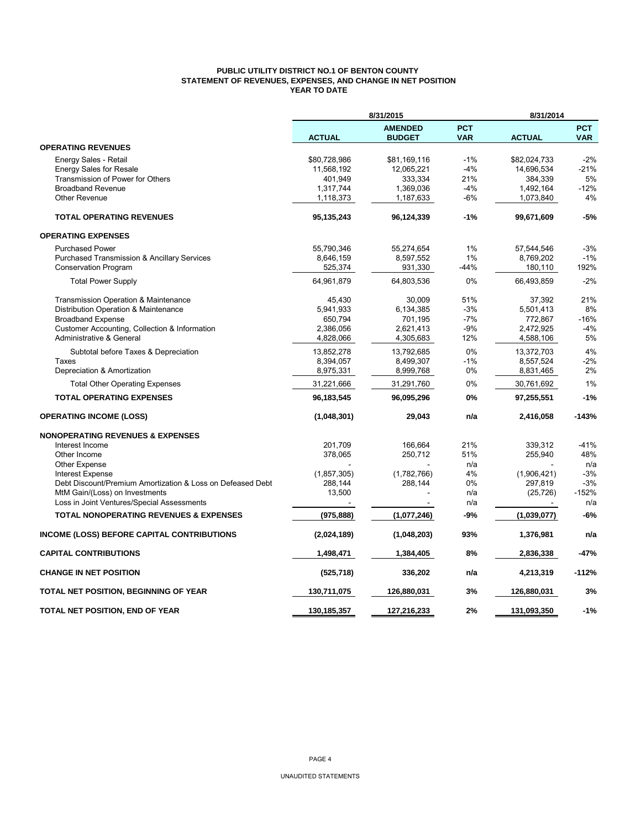### **PUBLIC UTILITY DISTRICT NO.1 OF BENTON COUNTY STATEMENT OF REVENUES, EXPENSES, AND CHANGE IN NET POSITION YEAR TO DATE**

|                                                            | 8/31/2015     |                                 |                          | 8/31/2014     |                          |  |
|------------------------------------------------------------|---------------|---------------------------------|--------------------------|---------------|--------------------------|--|
|                                                            | <b>ACTUAL</b> | <b>AMENDED</b><br><b>BUDGET</b> | <b>PCT</b><br><b>VAR</b> | <b>ACTUAL</b> | <b>PCT</b><br><b>VAR</b> |  |
| <b>OPERATING REVENUES</b>                                  |               |                                 |                          |               |                          |  |
| Energy Sales - Retail                                      | \$80,728,986  | \$81,169,116                    | $-1%$                    | \$82,024,733  | $-2%$                    |  |
| <b>Energy Sales for Resale</b>                             | 11,568,192    | 12,065,221                      | $-4%$                    | 14,696,534    | $-21%$                   |  |
| Transmission of Power for Others                           | 401,949       | 333,334                         | 21%                      | 384,339       | 5%                       |  |
| <b>Broadband Revenue</b>                                   | 1,317,744     | 1,369,036                       | -4%                      | 1,492,164     | $-12%$                   |  |
| <b>Other Revenue</b>                                       | 1,118,373     | 1,187,633                       | $-6%$                    | 1,073,840     | 4%                       |  |
| <b>TOTAL OPERATING REVENUES</b>                            | 95,135,243    | 96,124,339                      | -1%                      | 99,671,609    | $-5%$                    |  |
| <b>OPERATING EXPENSES</b>                                  |               |                                 |                          |               |                          |  |
| <b>Purchased Power</b>                                     | 55,790,346    | 55,274,654                      | 1%                       | 57,544,546    | $-3%$                    |  |
| Purchased Transmission & Ancillary Services                | 8,646,159     | 8,597,552                       | 1%                       | 8,769,202     | $-1%$                    |  |
| <b>Conservation Program</b>                                | 525,374       | 931,330                         | -44%                     | 180,110       | 192%                     |  |
| <b>Total Power Supply</b>                                  | 64,961,879    | 64,803,536                      | 0%                       | 66,493,859    | $-2%$                    |  |
| Transmission Operation & Maintenance                       | 45.430        | 30.009                          | 51%                      | 37,392        | 21%                      |  |
| Distribution Operation & Maintenance                       | 5,941,933     | 6,134,385                       | $-3%$                    | 5,501,413     | 8%                       |  |
| <b>Broadband Expense</b>                                   | 650,794       | 701,195                         | $-7%$                    | 772,867       | $-16%$                   |  |
| Customer Accounting, Collection & Information              | 2,386,056     | 2,621,413                       | $-9%$                    | 2,472,925     | $-4%$                    |  |
| Administrative & General                                   | 4,828,066     | 4,305,683                       | 12%                      | 4,588,106     | 5%                       |  |
| Subtotal before Taxes & Depreciation                       | 13,852,278    | 13,792,685                      | 0%                       | 13,372,703    | 4%                       |  |
| Taxes                                                      | 8,394,057     | 8,499,307                       | $-1%$                    | 8,557,524     | $-2%$                    |  |
| Depreciation & Amortization                                | 8,975,331     | 8,999,768                       | 0%                       | 8,831,465     | 2%                       |  |
| <b>Total Other Operating Expenses</b>                      | 31,221,666    | 31,291,760                      | 0%                       | 30,761,692    | 1%                       |  |
| <b>TOTAL OPERATING EXPENSES</b>                            | 96,183,545    | 96,095,296                      | 0%                       | 97,255,551    | $-1%$                    |  |
| <b>OPERATING INCOME (LOSS)</b>                             | (1,048,301)   | 29,043                          | n/a                      | 2,416,058     | $-143%$                  |  |
| <b>NONOPERATING REVENUES &amp; EXPENSES</b>                |               |                                 |                          |               |                          |  |
| Interest Income                                            | 201,709       | 166,664                         | 21%                      | 339,312       | $-41%$                   |  |
| Other Income                                               | 378,065       | 250,712                         | 51%                      | 255,940       | 48%                      |  |
| <b>Other Expense</b>                                       |               |                                 | n/a                      |               | n/a                      |  |
| <b>Interest Expense</b>                                    | (1, 857, 305) | (1,782,766)                     | 4%                       | (1,906,421)   | $-3%$                    |  |
| Debt Discount/Premium Amortization & Loss on Defeased Debt | 288,144       | 288,144                         | 0%                       | 297,819       | $-3%$                    |  |
| MtM Gain/(Loss) on Investments                             | 13,500        |                                 | n/a                      | (25, 726)     | $-152%$                  |  |
| Loss in Joint Ventures/Special Assessments                 |               |                                 | n/a                      |               | n/a                      |  |
| <b>TOTAL NONOPERATING REVENUES &amp; EXPENSES</b>          | (975, 888)    | (1,077,246)                     | $-9%$                    | (1,039,077)   | -6%                      |  |
| <b>INCOME (LOSS) BEFORE CAPITAL CONTRIBUTIONS</b>          | (2,024,189)   | (1,048,203)                     | 93%                      | 1,376,981     | n/a                      |  |
| <b>CAPITAL CONTRIBUTIONS</b>                               | 1,498,471     | 1,384,405                       | 8%                       | 2,836,338     | -47%                     |  |
| <b>CHANGE IN NET POSITION</b>                              | (525, 718)    | 336,202                         | n/a                      | 4,213,319     | $-112%$                  |  |
| TOTAL NET POSITION, BEGINNING OF YEAR                      | 130,711,075   | 126,880,031                     | 3%                       | 126,880,031   | 3%                       |  |
| TOTAL NET POSITION, END OF YEAR                            | 130.185.357   | 127,216,233                     | 2%                       | 131,093,350   | $-1%$                    |  |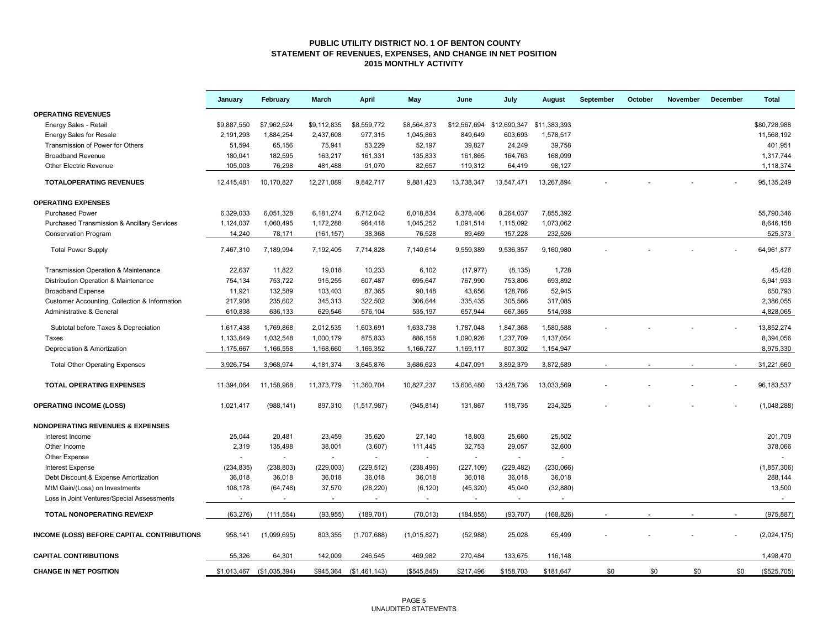#### **PUBLIC UTILITY DISTRICT NO. 1 OF BENTON COUNTY STATEMENT OF REVENUES, EXPENSES, AND CHANGE IN NET POSITION 2015 MONTHLY ACTIVITY**

|                                                        | January     | February      | March          | <b>April</b>  | May          | June                                   | July           | August     | September | October | November | December | <b>Total</b>  |
|--------------------------------------------------------|-------------|---------------|----------------|---------------|--------------|----------------------------------------|----------------|------------|-----------|---------|----------|----------|---------------|
| <b>OPERATING REVENUES</b>                              |             |               |                |               |              |                                        |                |            |           |         |          |          |               |
| Energy Sales - Retail                                  | \$9.887.550 | \$7,962,524   | \$9,112,835    | \$8,559,772   | \$8,564,873  | \$12,567,694 \$12,690,347 \$11,383,393 |                |            |           |         |          |          | \$80.728.988  |
| <b>Energy Sales for Resale</b>                         | 2,191,293   | 1,884,254     | 2,437,608      | 977,315       | 1,045,863    | 849,649                                | 603,693        | 1,578,517  |           |         |          |          | 11,568,192    |
| Transmission of Power for Others                       | 51.594      | 65.156        | 75,941         | 53.229        | 52,197       | 39,827                                 | 24.249         | 39.758     |           |         |          |          | 401.951       |
| <b>Broadband Revenue</b>                               | 180.041     | 182,595       | 163,217        | 161,331       | 135,833      | 161,865                                | 164,763        | 168,099    |           |         |          |          | 1,317,744     |
| <b>Other Electric Revenue</b>                          | 105,003     | 76,298        | 481,488        | 91,070        | 82,657       | 119,312                                | 64,419         | 98,127     |           |         |          |          | 1,118,374     |
| <b>TOTALOPERATING REVENUES</b>                         | 12,415,481  | 10,170,827    | 12,271,089     | 9,842,717     | 9,881,423    | 13,738,347                             | 13,547,471     | 13,267,894 |           |         |          |          | 95, 135, 249  |
| <b>OPERATING EXPENSES</b>                              |             |               |                |               |              |                                        |                |            |           |         |          |          |               |
| <b>Purchased Power</b>                                 | 6,329,033   | 6,051,328     | 6,181,274      | 6,712,042     | 6,018,834    | 8,378,406                              | 8,264,037      | 7,855,392  |           |         |          |          | 55,790,346    |
| <b>Purchased Transmission &amp; Ancillary Services</b> | 1,124,037   | 1,060,495     | 1,172,288      | 964,418       | 1,045,252    | 1,091,514                              | 1,115,092      | 1,073,062  |           |         |          |          | 8,646,158     |
| <b>Conservation Program</b>                            | 14,240      | 78,171        | (161, 157)     | 38,368        | 76,528       | 89,469                                 | 157,228        | 232,526    |           |         |          |          | 525,373       |
| <b>Total Power Supply</b>                              | 7,467,310   | 7,189,994     | 7,192,405      | 7,714,828     | 7,140,614    | 9,559,389                              | 9,536,357      | 9,160,980  |           |         |          |          | 64,961,877    |
| Transmission Operation & Maintenance                   | 22,637      | 11,822        | 19,018         | 10,233        | 6,102        | (17, 977)                              | (8, 135)       | 1,728      |           |         |          |          | 45,428        |
| Distribution Operation & Maintenance                   | 754,134     | 753,722       | 915,255        | 607,487       | 695,647      | 767,990                                | 753,806        | 693,892    |           |         |          |          | 5,941,933     |
| <b>Broadband Expense</b>                               | 11,921      | 132,589       | 103,403        | 87,365        | 90,148       | 43,656                                 | 128,766        | 52,945     |           |         |          |          | 650,793       |
| Customer Accounting, Collection & Information          | 217,908     | 235,602       | 345,313        | 322,502       | 306,644      | 335,435                                | 305,566        | 317,085    |           |         |          |          | 2,386,055     |
| Administrative & General                               | 610,838     | 636,133       | 629,546        | 576,104       | 535,197      | 657,944                                | 667,365        | 514,938    |           |         |          |          | 4,828,065     |
| Subtotal before Taxes & Depreciation                   | 1,617,438   | 1,769,868     | 2,012,535      | 1,603,691     | 1,633,738    | 1,787,048                              | 1,847,368      | 1,580,588  |           |         |          |          | 13,852,274    |
| Taxes                                                  | 1,133,649   | 1,032,548     | 1,000,179      | 875,833       | 886,158      | 1,090,926                              | 1,237,709      | 1,137,054  |           |         |          |          | 8,394,056     |
| Depreciation & Amortization                            | 1,175,667   | 1,166,558     | 1,168,660      | 1,166,352     | 1,166,727    | 1,169,117                              | 807,302        | 1,154,947  |           |         |          |          | 8,975,330     |
|                                                        |             |               |                |               |              |                                        |                |            |           |         |          |          |               |
| <b>Total Other Operating Expenses</b>                  | 3,926,754   | 3,968,974     | 4,181,374      | 3,645,876     | 3,686,623    | 4,047,091                              | 3,892,379      | 3,872,589  |           |         |          |          | 31,221,660    |
| <b>TOTAL OPERATING EXPENSES</b>                        | 11,394,064  | 11,158,968    | 11,373,779     | 11,360,704    | 10,827,237   | 13,606,480                             | 13,428,736     | 13,033,569 |           |         |          |          | 96, 183, 537  |
| <b>OPERATING INCOME (LOSS)</b>                         | 1,021,417   | (988, 141)    | 897,310        | (1,517,987)   | (945, 814)   | 131,867                                | 118,735        | 234,325    |           |         |          |          | (1,048,288)   |
| <b>NONOPERATING REVENUES &amp; EXPENSES</b>            |             |               |                |               |              |                                        |                |            |           |         |          |          |               |
| Interest Income                                        | 25,044      | 20,481        | 23,459         | 35,620        | 27,140       | 18,803                                 | 25,660         | 25,502     |           |         |          |          | 201,709       |
| Other Income                                           | 2,319       | 135,498       | 38,001         | (3,607)       | 111,445      | 32,753                                 | 29,057         | 32,600     |           |         |          |          | 378,066       |
| Other Expense                                          |             |               | $\sim$         | $\sim$        |              | $\sim$                                 | $\sim$         |            |           |         |          |          |               |
| <b>Interest Expense</b>                                | (234, 835)  | (238, 803)    | (229, 003)     | (229, 512)    | (238, 496)   | (227, 109)                             | (229, 482)     | (230,066)  |           |         |          |          | (1, 857, 306) |
| Debt Discount & Expense Amortization                   | 36,018      | 36,018        | 36,018         | 36,018        | 36,018       | 36,018                                 | 36,018         | 36,018     |           |         |          |          | 288,144       |
| MtM Gain/(Loss) on Investments                         | 108,178     | (64, 748)     | 37,570         | (28, 220)     | (6, 120)     | (45, 320)                              | 45,040         | (32, 880)  |           |         |          |          | 13,500        |
| Loss in Joint Ventures/Special Assessments             |             |               | $\blacksquare$ |               |              |                                        | $\blacksquare$ |            |           |         |          |          | $\sim$        |
| <b>TOTAL NONOPERATING REV/EXP</b>                      | (63, 276)   | (111, 554)    | (93, 955)      | (189, 701)    | (70, 013)    | (184, 855)                             | (93, 707)      | (168, 826) |           |         |          |          | (975, 887)    |
| INCOME (LOSS) BEFORE CAPITAL CONTRIBUTIONS             | 958,141     | (1,099,695)   | 803,355        | (1,707,688)   | (1,015,827)  | (52,988)                               | 25,028         | 65,499     |           |         |          |          | (2,024,175)   |
| <b>CAPITAL CONTRIBUTIONS</b>                           | 55.326      | 64,301        | 142,009        | 246,545       | 469,982      | 270,484                                | 133,675        | 116,148    |           |         |          |          | 1,498,470     |
| <b>CHANGE IN NET POSITION</b>                          | \$1,013,467 | (\$1,035,394) | \$945,364      | (\$1,461,143) | (\$545, 845) | \$217,496                              | \$158,703      | \$181,647  | \$0       | \$0     | \$0      | \$0      | (\$525,705)   |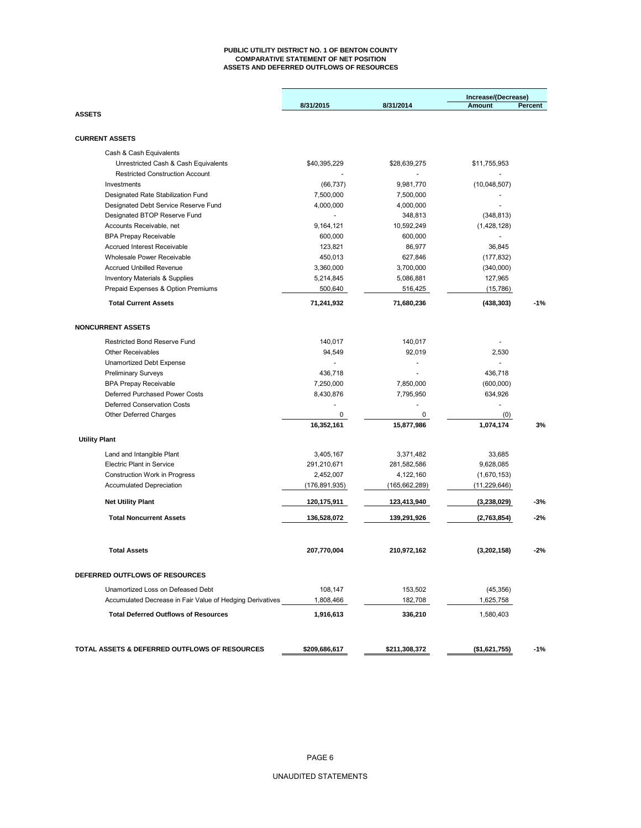#### **PUBLIC UTILITY DISTRICT NO. 1 OF BENTON COUNTY COMPARATIVE STATEMENT OF NET POSITION ASSETS AND DEFERRED OUTFLOWS OF RESOURCES**

|                                                           |               |                 | Increase/(Decrease) |         |  |
|-----------------------------------------------------------|---------------|-----------------|---------------------|---------|--|
|                                                           | 8/31/2015     | 8/31/2014       | <b>Amount</b>       | Percent |  |
| <b>ASSETS</b>                                             |               |                 |                     |         |  |
| <b>CURRENT ASSETS</b>                                     |               |                 |                     |         |  |
| Cash & Cash Equivalents                                   |               |                 |                     |         |  |
| Unrestricted Cash & Cash Equivalents                      | \$40,395,229  | \$28,639,275    | \$11,755,953        |         |  |
| <b>Restricted Construction Account</b>                    |               |                 |                     |         |  |
| Investments                                               | (66, 737)     | 9,981,770       | (10,048,507)        |         |  |
| Designated Rate Stabilization Fund                        | 7,500,000     | 7,500,000       |                     |         |  |
| Designated Debt Service Reserve Fund                      | 4,000,000     | 4,000,000       |                     |         |  |
| Designated BTOP Reserve Fund                              |               | 348,813         | (348, 813)          |         |  |
| Accounts Receivable, net                                  | 9,164,121     | 10,592,249      | (1,428,128)         |         |  |
| <b>BPA Prepay Receivable</b>                              | 600,000       | 600,000         |                     |         |  |
| <b>Accrued Interest Receivable</b>                        | 123,821       | 86,977          | 36,845              |         |  |
| Wholesale Power Receivable                                | 450,013       | 627,846         | (177, 832)          |         |  |
| <b>Accrued Unbilled Revenue</b>                           | 3,360,000     | 3,700,000       | (340,000)           |         |  |
| <b>Inventory Materials &amp; Supplies</b>                 | 5,214,845     | 5,086,881       | 127,965             |         |  |
| Prepaid Expenses & Option Premiums                        | 500,640       | 516,425         | (15,786)            |         |  |
| <b>Total Current Assets</b>                               | 71,241,932    | 71,680,236      | (438, 303)          | $-1%$   |  |
| <b>NONCURRENT ASSETS</b>                                  |               |                 |                     |         |  |
|                                                           |               |                 |                     |         |  |
| <b>Restricted Bond Reserve Fund</b>                       | 140,017       | 140,017         |                     |         |  |
| <b>Other Receivables</b>                                  | 94.549        | 92,019          | 2,530               |         |  |
| <b>Unamortized Debt Expense</b>                           |               |                 |                     |         |  |
| <b>Preliminary Surveys</b>                                | 436,718       |                 | 436,718             |         |  |
| <b>BPA Prepay Receivable</b>                              | 7,250,000     | 7,850,000       | (600,000)           |         |  |
| Deferred Purchased Power Costs                            | 8,430,876     | 7,795,950       | 634,926             |         |  |
| <b>Deferred Conservation Costs</b>                        |               |                 |                     |         |  |
| <b>Other Deferred Charges</b>                             | 0             | 0               | (0)                 |         |  |
|                                                           | 16,352,161    | 15,877,986      | 1,074,174           | 3%      |  |
| <b>Utility Plant</b>                                      |               |                 |                     |         |  |
| Land and Intangible Plant                                 | 3,405,167     | 3,371,482       | 33,685              |         |  |
| <b>Electric Plant in Service</b>                          | 291,210,671   | 281,582,586     | 9,628,085           |         |  |
| <b>Construction Work in Progress</b>                      | 2,452,007     | 4,122,160       | (1,670,153)         |         |  |
| <b>Accumulated Depreciation</b>                           | (176,891,935) | (165, 662, 289) | (11, 229, 646)      |         |  |
| <b>Net Utility Plant</b>                                  | 120,175,911   | 123,413,940     | (3,238,029)         | -3%     |  |
| <b>Total Noncurrent Assets</b>                            | 136,528,072   | 139,291,926     | (2,763,854)         | $-2%$   |  |
|                                                           |               |                 |                     |         |  |
| <b>Total Assets</b>                                       | 207,770,004   | 210,972,162     | (3,202,158)         | $-2%$   |  |
| <b>DEFERRED OUTFLOWS OF RESOURCES</b>                     |               |                 |                     |         |  |
| Unamortized Loss on Defeased Debt                         | 108,147       | 153,502         | (45, 356)           |         |  |
| Accumulated Decrease in Fair Value of Hedging Derivatives | 1,808,466     | 182,708         | 1,625,758           |         |  |
| <b>Total Deferred Outflows of Resources</b>               | 1,916,613     | 336,210         | 1,580,403           |         |  |
|                                                           |               |                 |                     |         |  |
| TOTAL ASSETS & DEFERRED OUTFLOWS OF RESOURCES             | \$209,686,617 | \$211,308,372   | (\$1,621,755)       | $-1%$   |  |
|                                                           |               |                 |                     |         |  |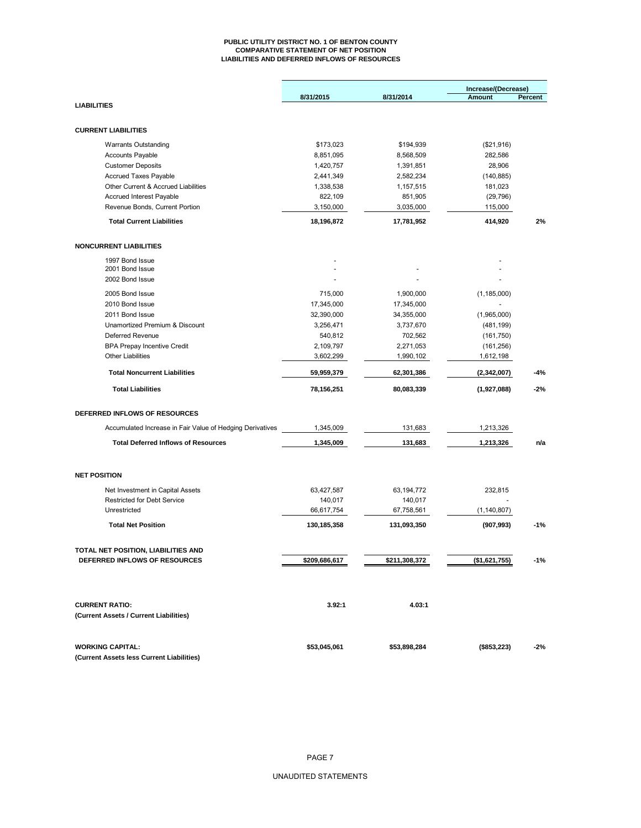#### **PUBLIC UTILITY DISTRICT NO. 1 OF BENTON COUNTY COMPARATIVE STATEMENT OF NET POSITION LIABILITIES AND DEFERRED INFLOWS OF RESOURCES**

|                                                                        |                       |                       | Increase/(Decrease) |         |  |
|------------------------------------------------------------------------|-----------------------|-----------------------|---------------------|---------|--|
| <b>LIABILITIES</b>                                                     | 8/31/2015             | 8/31/2014             | Amount              | Percent |  |
|                                                                        |                       |                       |                     |         |  |
| <b>CURRENT LIABILITIES</b>                                             |                       |                       |                     |         |  |
|                                                                        |                       |                       |                     |         |  |
| <b>Warrants Outstanding</b>                                            | \$173.023             | \$194,939             | (\$21,916)          |         |  |
| <b>Accounts Payable</b>                                                | 8,851,095             | 8,568,509             | 282,586             |         |  |
| <b>Customer Deposits</b>                                               | 1,420,757             | 1,391,851             | 28,906              |         |  |
| <b>Accrued Taxes Payable</b>                                           | 2,441,349             | 2,582,234             | (140, 885)          |         |  |
| Other Current & Accrued Liabilities                                    | 1,338,538             | 1,157,515             | 181,023             |         |  |
| <b>Accrued Interest Payable</b>                                        | 822,109               | 851,905               | (29, 796)           |         |  |
| Revenue Bonds, Current Portion                                         | 3,150,000             | 3,035,000             | 115,000             |         |  |
| <b>Total Current Liabilities</b>                                       | 18,196,872            | 17,781,952            | 414,920             | 2%      |  |
| <b>NONCURRENT LIABILITIES</b>                                          |                       |                       |                     |         |  |
| 1997 Bond Issue                                                        |                       |                       |                     |         |  |
| 2001 Bond Issue                                                        |                       |                       |                     |         |  |
| 2002 Bond Issue                                                        |                       |                       |                     |         |  |
| 2005 Bond Issue                                                        | 715,000               | 1,900,000             | (1, 185, 000)       |         |  |
| 2010 Bond Issue                                                        | 17,345,000            | 17,345,000            |                     |         |  |
| 2011 Bond Issue                                                        | 32,390,000            | 34,355,000            | (1,965,000)         |         |  |
| Unamortized Premium & Discount                                         | 3,256,471             | 3,737,670             | (481, 199)          |         |  |
| Deferred Revenue                                                       | 540,812               | 702,562               | (161, 750)          |         |  |
| <b>BPA Prepay Incentive Credit</b>                                     | 2,109,797             | 2,271,053             | (161, 256)          |         |  |
| <b>Other Liabilities</b>                                               | 3,602,299             | 1,990,102             | 1,612,198           |         |  |
|                                                                        |                       |                       |                     |         |  |
| <b>Total Noncurrent Liabilities</b>                                    | 59,959,379            | 62,301,386            | (2,342,007)         | -4%     |  |
| <b>Total Liabilities</b>                                               | 78,156,251            | 80,083,339            | (1,927,088)         | $-2%$   |  |
| DEFERRED INFLOWS OF RESOURCES                                          |                       |                       |                     |         |  |
| Accumulated Increase in Fair Value of Hedging Derivatives              | 1,345,009             | 131,683               | 1,213,326           |         |  |
| <b>Total Deferred Inflows of Resources</b>                             | 1,345,009             | 131,683               | 1,213,326           | n/a     |  |
| <b>NET POSITION</b>                                                    |                       |                       |                     |         |  |
|                                                                        |                       |                       |                     |         |  |
| Net Investment in Capital Assets<br><b>Restricted for Debt Service</b> | 63,427,587            | 63,194,772            | 232,815             |         |  |
| Unrestricted                                                           | 140,017<br>66,617,754 | 140,017<br>67,758,561 | (1, 140, 807)       |         |  |
| <b>Total Net Position</b>                                              | 130,185,358           | 131,093,350           | (907, 993)          | $-1%$   |  |
|                                                                        |                       |                       |                     |         |  |
| TOTAL NET POSITION, LIABILITIES AND                                    |                       |                       |                     |         |  |
| DEFERRED INFLOWS OF RESOURCES                                          | \$209,686,617         | \$211,308,372         | (\$1,621,755)       | $-1%$   |  |
|                                                                        |                       |                       |                     |         |  |
| <b>CURRENT RATIO:</b><br>(Current Assets / Current Liabilities)        | 3.92:1                | 4.03:1                |                     |         |  |
|                                                                        |                       |                       |                     |         |  |
| <b>WORKING CAPITAL:</b>                                                | \$53,045,061          | \$53,898,284          | (\$853,223)         | -2%     |  |
| (Current Assets less Current Liabilities)                              |                       |                       |                     |         |  |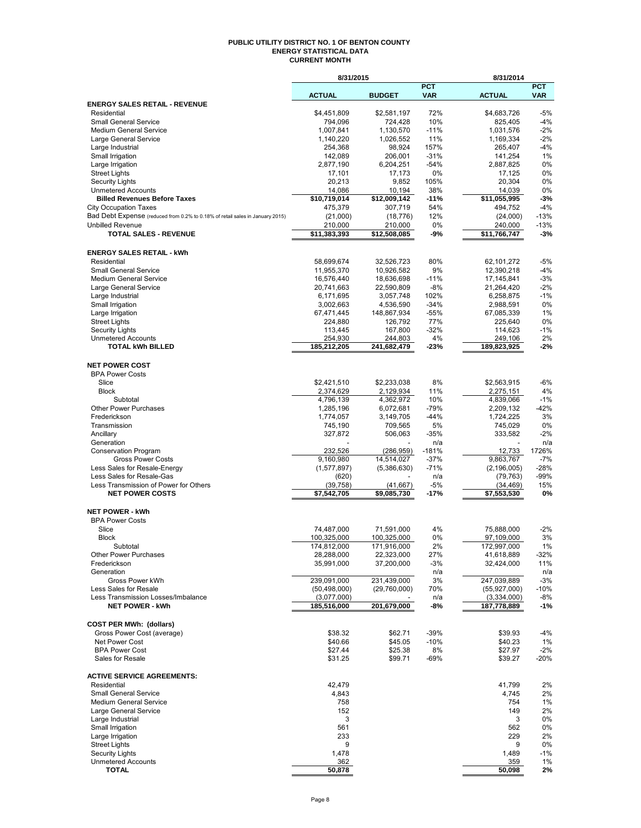#### **PUBLIC UTILITY DISTRICT NO. 1 OF BENTON COUNTY ENERGY STATISTICAL DATA CURRENT MONTH**

|                                                                               | 8/31/2015                 |                           |                | 8/31/2014                 |              |
|-------------------------------------------------------------------------------|---------------------------|---------------------------|----------------|---------------------------|--------------|
|                                                                               |                           |                           | <b>PCT</b>     |                           | <b>PCT</b>   |
| <b>ENERGY SALES RETAIL - REVENUE</b>                                          | <b>ACTUAL</b>             | <b>BUDGET</b>             | <b>VAR</b>     | <b>ACTUAL</b>             | <b>VAR</b>   |
| Residential                                                                   | \$4,451,809               | \$2,581,197               | 72%            | \$4,683,726               | $-5%$        |
| <b>Small General Service</b>                                                  | 794,096                   | 724,428                   | 10%            | 825,405                   | $-4%$        |
| <b>Medium General Service</b>                                                 | 1,007,841                 | 1,130,570                 | $-11%$         | 1,031,576                 | $-2%$        |
| Large General Service                                                         | 1,140,220                 | 1,026,552                 | 11%            | 1,169,334                 | $-2%$        |
| Large Industrial                                                              | 254,368                   | 98,924                    | 157%           | 265,407                   | $-4%$        |
| Small Irrigation                                                              | 142,089                   | 206,001                   | $-31%$         | 141,254                   | 1%           |
| Large Irrigation                                                              | 2,877,190                 | 6,204,251                 | $-54%$         | 2,887,825                 | 0%           |
| <b>Street Lights</b>                                                          | 17,101                    | 17,173                    | 0%             | 17,125                    | 0%           |
| <b>Security Lights</b><br><b>Unmetered Accounts</b>                           | 20,213<br>14,086          | 9,852<br>10,194           | 105%<br>38%    | 20,304<br>14,039          | 0%<br>0%     |
| <b>Billed Revenues Before Taxes</b>                                           | \$10,719,014              | \$12,009,142              | $-11%$         | \$11,055,995              | $-3%$        |
| <b>City Occupation Taxes</b>                                                  | 475,379                   | 307,719                   | 54%            | 494,752                   | $-4%$        |
| Bad Debt Expense (reduced from 0.2% to 0.18% of retail sales in January 2015) | (21,000)                  | (18, 776)                 | 12%            | (24,000)                  | $-13%$       |
| <b>Unbilled Revenue</b>                                                       | 210,000                   | 210,000                   | 0%             | 240.000                   | $-13%$       |
| <b>TOTAL SALES - REVENUE</b>                                                  | \$11,383,393              | \$12,508,085              | -9%            | \$11,766,747              | -3%          |
|                                                                               |                           |                           |                |                           |              |
| <b>ENERGY SALES RETAIL - kWh</b>                                              |                           |                           |                |                           |              |
| Residential                                                                   | 58,699,674                | 32,526,723                | 80%            | 62,101,272                | -5%          |
| <b>Small General Service</b>                                                  | 11,955,370                | 10,926,582                | 9%             | 12,390,218                | $-4%$        |
| <b>Medium General Service</b>                                                 | 16,576,440                | 18,636,698                | $-11%$         | 17,145,841                | $-3%$        |
| Large General Service                                                         | 20,741,663                | 22,590,809                | $-8%$          | 21,264,420                | $-2%$        |
| Large Industrial                                                              | 6,171,695                 | 3,057,748                 | 102%           | 6,258,875                 | $-1%$        |
| Small Irrigation                                                              | 3,002,663                 | 4,536,590                 | $-34%$         | 2,988,591                 | 0%           |
| Large Irrigation                                                              | 67,471,445                | 148,867,934               | $-55%$         | 67,085,339                | 1%           |
| <b>Street Lights</b>                                                          | 224,880                   | 126,792                   | 77%<br>$-32%$  | 225,640                   | 0%<br>$-1%$  |
| <b>Security Lights</b><br><b>Unmetered Accounts</b>                           | 113,445<br>254,930        | 167,800<br>244,803        | 4%             | 114,623<br>249,106        | 2%           |
| <b>TOTAL kWh BILLED</b>                                                       | 185,212,205               | 241,682,479               | $-23%$         | 189,823,925               | -2%          |
|                                                                               |                           |                           |                |                           |              |
| <b>NET POWER COST</b>                                                         |                           |                           |                |                           |              |
| <b>BPA Power Costs</b>                                                        |                           |                           |                |                           |              |
| Slice                                                                         | \$2,421,510               | \$2,233,038               | 8%             | \$2,563,915               | -6%          |
| <b>Block</b>                                                                  | 2,374,629                 | 2,129,934                 | 11%            | 2,275,151                 | 4%           |
| Subtotal                                                                      | 4,796,139                 | 4,362,972                 | 10%            | 4,839,066                 | $-1%$        |
| <b>Other Power Purchases</b>                                                  | 1,285,196                 | 6,072,681                 | $-79%$         | 2,209,132                 | $-42%$       |
| Frederickson                                                                  | 1,774,057                 | 3,149,705                 | $-44%$         | 1,724,225                 | 3%           |
| Transmission                                                                  | 745,190                   | 709,565                   | 5%             | 745,029                   | 0%           |
| Ancillary                                                                     | 327,872                   | 506,063                   | $-35%$         | 333,582                   | $-2%$<br>n/a |
| Generation<br>Conservation Program                                            | 232,526                   | (286, 959)                | n/a<br>$-181%$ | 12,733                    | 1726%        |
| <b>Gross Power Costs</b>                                                      | 9,160,980                 | 14,514,027                | $-37%$         | 9,863,767                 | $-7%$        |
| Less Sales for Resale-Energy                                                  | (1,577,897)               | (5,386,630)               | $-71%$         | (2, 196, 005)             | $-28%$       |
| Less Sales for Resale-Gas                                                     | (620)                     |                           | n/a            | (79, 763)                 | $-99%$       |
| Less Transmission of Power for Others                                         | (39, 758)                 | (41, 667)                 | $-5%$          | (34, 469)                 | 15%          |
| <b>NET POWER COSTS</b>                                                        | $\overline{$7,542,705}$   | \$9,085,730               | $-17%$         | \$7,553,530               | 0%           |
|                                                                               |                           |                           |                |                           |              |
| <b>NET POWER - kWh</b>                                                        |                           |                           |                |                           |              |
| <b>BPA Power Costs</b>                                                        |                           |                           |                |                           |              |
| Slice                                                                         | 74,487,000                | 71,591,000                | 4%             | 75,888,000                | $-2%$        |
| <b>Block</b>                                                                  | 100,325,000               | 100,325,000               | 0%             | 97,109,000                | 3%           |
| Subtotal<br><b>Other Power Purchases</b>                                      | 174,812,000<br>28,288,000 | 171,916,000<br>22,323,000 | $2\%$<br>27%   | 172,997,000<br>41,618,889 | 1%<br>$-32%$ |
| Frederickson                                                                  | 35,991,000                | 37,200,000                | -3%            | 32,424,000                | 11%          |
| Generation                                                                    |                           |                           | n/a            |                           | n/a          |
| Gross Power kWh                                                               | 239,091,000               | 231,439,000               | 3%             | 247,039,889               | $-3%$        |
| Less Sales for Resale                                                         | (50, 498, 000)            | (29,760,000)              | 70%            | (55, 927, 000)            | -10%         |
| Less Transmission Losses/Imbalance                                            | (3,077,000)               |                           | n/a            | (3,334,000)               | -8%          |
| <b>NET POWER - kWh</b>                                                        | 185,516,000               | 201,679,000               | -8%            | 187,778,889               | -1%          |
|                                                                               |                           |                           |                |                           |              |
| <b>COST PER MWh: (dollars)</b>                                                |                           |                           |                |                           |              |
| Gross Power Cost (average)                                                    | \$38.32                   | \$62.71                   | $-39%$         | \$39.93                   | -4%          |
| Net Power Cost                                                                | \$40.66                   | \$45.05                   | $-10%$         | \$40.23                   | 1%           |
| <b>BPA Power Cost</b>                                                         | \$27.44                   | \$25.38                   | 8%             | \$27.97                   | $-2%$        |
| Sales for Resale                                                              | \$31.25                   | \$99.71                   | -69%           | \$39.27                   | -20%         |
| <b>ACTIVE SERVICE AGREEMENTS:</b>                                             |                           |                           |                |                           |              |
| Residential                                                                   | 42,479                    |                           |                | 41,799                    | 2%           |
| <b>Small General Service</b>                                                  | 4,843                     |                           |                | 4,745                     | 2%           |
| <b>Medium General Service</b>                                                 | 758                       |                           |                | 754                       | 1%           |
| Large General Service                                                         | 152                       |                           |                | 149                       | 2%           |
| Large Industrial                                                              | 3                         |                           |                | 3                         | 0%           |
| Small Irrigation                                                              | 561                       |                           |                | 562                       | 0%           |
| Large Irrigation                                                              | 233                       |                           |                | 229                       | 2%           |
| <b>Street Lights</b>                                                          | 9                         |                           |                | 9                         | 0%           |
| <b>Security Lights</b>                                                        | 1,478                     |                           |                | 1,489                     | $-1%$        |
| <b>Unmetered Accounts</b>                                                     | 362                       |                           |                | 359                       | 1%           |
| <b>TOTAL</b>                                                                  | 50,878                    |                           |                | 50,098                    | 2%           |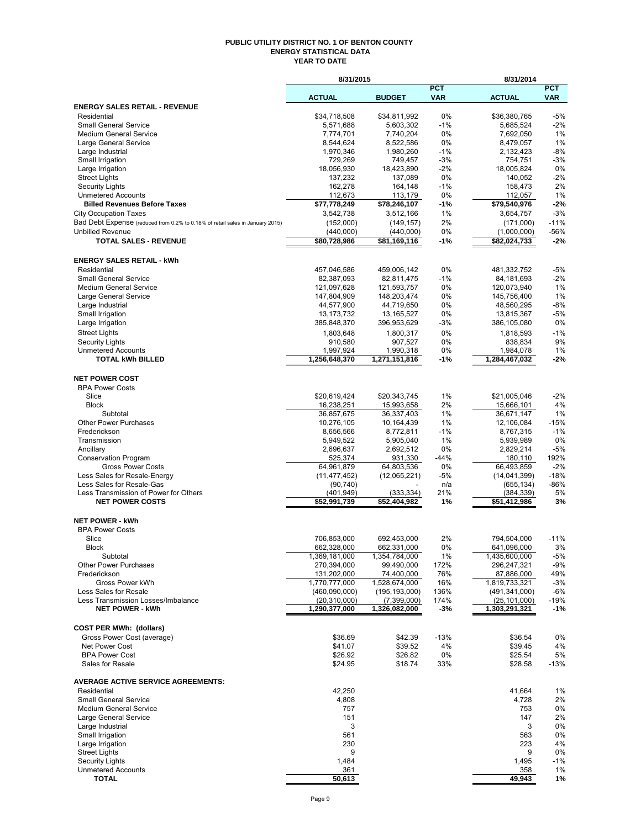#### **PUBLIC UTILITY DISTRICT NO. 1 OF BENTON COUNTY ENERGY STATISTICAL DATA YEAR TO DATE**

|                                                                                                               | 8/31/2015                       |                                |                          | 8/31/2014                         |                          |
|---------------------------------------------------------------------------------------------------------------|---------------------------------|--------------------------------|--------------------------|-----------------------------------|--------------------------|
|                                                                                                               | <b>ACTUAL</b>                   | <b>BUDGET</b>                  | <b>PCT</b><br><b>VAR</b> | <b>ACTUAL</b>                     | <b>PCT</b><br><b>VAR</b> |
| <b>ENERGY SALES RETAIL - REVENUE</b>                                                                          |                                 |                                |                          |                                   |                          |
| Residential                                                                                                   | \$34.718.508                    | \$34,811,992                   | 0%                       | \$36,380,765                      | $-5%$                    |
| <b>Small General Service</b>                                                                                  | 5,571,688                       | 5,603,302                      | $-1%$                    | 5,685,524                         | $-2%$                    |
| <b>Medium General Service</b>                                                                                 | 7,774,701                       | 7,740,204                      | 0%                       | 7,692,050                         | 1%                       |
| Large General Service                                                                                         | 8,544,624                       | 8,522,586                      | 0%                       | 8,479,057                         | 1%                       |
| Large Industrial<br>Small Irrigation                                                                          | 1,970,346<br>729,269            | 1,980,260<br>749,457           | $-1%$<br>-3%             | 2,132,423<br>754,751              | $-8%$<br>$-3%$           |
| Large Irrigation                                                                                              | 18,056,930                      | 18,423,890                     | $-2\%$                   | 18,005,824                        | 0%                       |
| <b>Street Lights</b>                                                                                          | 137,232                         | 137,089                        | 0%                       | 140,052                           | $-2%$                    |
| <b>Security Lights</b>                                                                                        | 162,278                         | 164,148                        | $-1%$                    | 158,473                           | 2%                       |
| <b>Unmetered Accounts</b>                                                                                     | 112,673                         | 113,179                        | 0%                       | 112,057                           | 1%                       |
| <b>Billed Revenues Before Taxes</b>                                                                           | \$77,778,249                    | \$78,246,107                   | -1%                      | \$79,540,976                      | $-2%$                    |
| <b>City Occupation Taxes</b><br>Bad Debt Expense (reduced from 0.2% to 0.18% of retail sales in January 2015) | 3,542,738                       | 3,512,166                      | 1%                       | 3,654,757                         | $-3%$                    |
| <b>Unbilled Revenue</b>                                                                                       | (152,000)<br>(440,000)          | (149, 157)<br>(440,000)        | 2%<br>0%                 | (171,000)<br>(1,000,000)          | $-11%$<br>$-56%$         |
| <b>TOTAL SALES - REVENUE</b>                                                                                  | \$80,728,986                    | \$81,169,116                   | -1%                      | \$82,024,733                      | $-2%$                    |
|                                                                                                               |                                 |                                |                          |                                   |                          |
| <b>ENERGY SALES RETAIL - kWh</b>                                                                              |                                 |                                |                          |                                   |                          |
| Residential                                                                                                   | 457,046,586                     | 459,006,142                    | 0%                       | 481,332,752                       | $-5%$                    |
| <b>Small General Service</b>                                                                                  | 82,387,093                      | 82,811,475                     | $-1%$                    | 84,181,693                        | $-2%$                    |
| <b>Medium General Service</b>                                                                                 | 121,097,628                     | 121,593,757                    | $0\%$                    | 120,073,940                       | 1%                       |
| Large General Service                                                                                         | 147,804,909                     | 148,203,474                    | 0%                       | 145,756,400                       | 1%                       |
| Large Industrial<br>Small Irrigation                                                                          | 44,577,900<br>13, 173, 732      | 44,719,650<br>13, 165, 527     | 0%<br>0%                 | 48,560,295<br>13,815,367          | $-8%$<br>$-5%$           |
| Large Irrigation                                                                                              | 385,848,370                     | 396,953,629                    | -3%                      | 386,105,080                       | 0%                       |
| <b>Street Lights</b>                                                                                          | 1,803,648                       | 1,800,317                      | 0%                       | 1,818,593                         | $-1%$                    |
| <b>Security Lights</b>                                                                                        | 910,580                         | 907,527                        | 0%                       | 838,834                           | 9%                       |
| <b>Unmetered Accounts</b>                                                                                     | 1,997,924                       | 1,990,318                      | 0%                       | 1,984,078                         | 1%                       |
| <b>TOTAL kWh BILLED</b>                                                                                       | 1,256,648,370                   | 1,271,151,816                  | -1%                      | 1,284,467,032                     | -2%                      |
|                                                                                                               |                                 |                                |                          |                                   |                          |
| <b>NET POWER COST</b>                                                                                         |                                 |                                |                          |                                   |                          |
| <b>BPA Power Costs</b><br>Slice                                                                               | \$20,619,424                    | \$20,343,745                   | 1%                       | \$21,005,046                      | $-2%$                    |
| <b>Block</b>                                                                                                  | 16,238,251                      | 15,993,658                     | 2%                       | 15,666,101                        | 4%                       |
| Subtotal                                                                                                      | 36,857,675                      | 36,337,403                     | 1%                       | 36,671,147                        | 1%                       |
| <b>Other Power Purchases</b>                                                                                  | 10,276,105                      | 10,164,439                     | 1%                       | 12,106,084                        | $-15%$                   |
| Frederickson                                                                                                  | 8,656,566                       | 8,772,811                      | $-1%$                    | 8,767,315                         | $-1%$                    |
| Transmission                                                                                                  | 5,949,522                       | 5,905,040                      | 1%                       | 5,939,989                         | 0%                       |
| Ancillary                                                                                                     | 2,696,637                       | 2,692,512                      | 0%                       | 2,829,214                         | $-5%$                    |
| <b>Conservation Program</b><br><b>Gross Power Costs</b>                                                       | 525,374<br>64,961,879           | 931,330<br>64,803,536          | $-44%$<br>0%             | 180,110<br>66,493,859             | 192%<br>$-2%$            |
| Less Sales for Resale-Energy                                                                                  | (11, 477, 452)                  | (12,065,221)                   | -5%                      | (14,041,399)                      | $-18%$                   |
| Less Sales for Resale-Gas                                                                                     | (90, 740)                       |                                | n/a                      | (655, 134)                        | -86%                     |
| Less Transmission of Power for Others                                                                         | (401, 949)                      | (333, 334)                     | 21%                      | (384, 339)                        | 5%                       |
| <b>NET POWER COSTS</b>                                                                                        | \$52,991,739                    | \$52,404,982                   | 1%                       | \$51,412,986                      | 3%                       |
|                                                                                                               |                                 |                                |                          |                                   |                          |
| <b>NET POWER - kWh</b><br><b>BPA Power Costs</b>                                                              |                                 |                                |                          |                                   |                          |
| Slice                                                                                                         | 706,853,000                     | 692,453,000                    | 2%                       | 794,504,000                       | $-11%$                   |
| Block                                                                                                         | 662,328,000                     | 662,331,000                    | 0%                       | 641,096,000                       | 3%                       |
| Subtotal                                                                                                      | 1,369,181,000                   | 1,354,784,000                  | 1%                       | 1,435,600,000                     | $-5%$                    |
| <b>Other Power Purchases</b>                                                                                  | 270,394,000                     | 99,490,000                     | 172%                     | 296,247,321                       | -9%                      |
| Frederickson                                                                                                  | 131,202,000                     | 74,400,000                     | 76%                      | 87,886,000                        | 49%                      |
| Gross Power kWh                                                                                               | 1,770,777,000                   | 1,528,674,000                  | 16%                      | 1,819,733,321                     | $-3%$                    |
| Less Sales for Resale<br>Less Transmission Losses/Imbalance                                                   | (460,090,000)<br>(20, 310, 000) | (195, 193, 000)<br>(7,399,000) | 136%<br>174%             | (491, 341, 000)<br>(25, 101, 000) | -6%<br>-19%              |
| <b>NET POWER - kWh</b>                                                                                        | 1,290,377,000                   | 1,326,082,000                  | $-3%$                    | 1,303,291,321                     | $-1%$                    |
|                                                                                                               |                                 |                                |                          |                                   |                          |
| <b>COST PER MWh: (dollars)</b>                                                                                |                                 |                                |                          |                                   |                          |
| Gross Power Cost (average)                                                                                    | \$36.69                         | \$42.39                        | $-13%$                   | \$36.54                           | 0%                       |
| Net Power Cost                                                                                                | \$41.07                         | \$39.52                        | 4%                       | \$39.45                           | 4%                       |
| <b>BPA Power Cost</b><br>Sales for Resale                                                                     | \$26.92<br>\$24.95              | \$26.82<br>\$18.74             | 0%<br>33%                | \$25.54<br>\$28.58                | 5%<br>$-13%$             |
|                                                                                                               |                                 |                                |                          |                                   |                          |
| <b>AVERAGE ACTIVE SERVICE AGREEMENTS:</b>                                                                     |                                 |                                |                          |                                   |                          |
| Residential                                                                                                   | 42,250                          |                                |                          | 41,664                            | 1%                       |
| <b>Small General Service</b>                                                                                  | 4,808                           |                                |                          | 4,728                             | 2%                       |
| <b>Medium General Service</b>                                                                                 | 757                             |                                |                          | 753                               | 0%                       |
| Large General Service                                                                                         | 151                             |                                |                          | 147                               | 2%                       |
| Large Industrial<br>Small Irrigation                                                                          | 3<br>561                        |                                |                          | 3<br>563                          | 0%<br>0%                 |
| Large Irrigation                                                                                              | 230                             |                                |                          | 223                               | 4%                       |
| <b>Street Lights</b>                                                                                          | 9                               |                                |                          | 9                                 | 0%                       |
| <b>Security Lights</b>                                                                                        | 1,484                           |                                |                          | 1,495                             | $-1%$                    |
| <b>Unmetered Accounts</b>                                                                                     | 361                             |                                |                          | 358                               | 1%                       |
| <b>TOTAL</b>                                                                                                  | 50,613                          |                                |                          | 49,943                            | 1%                       |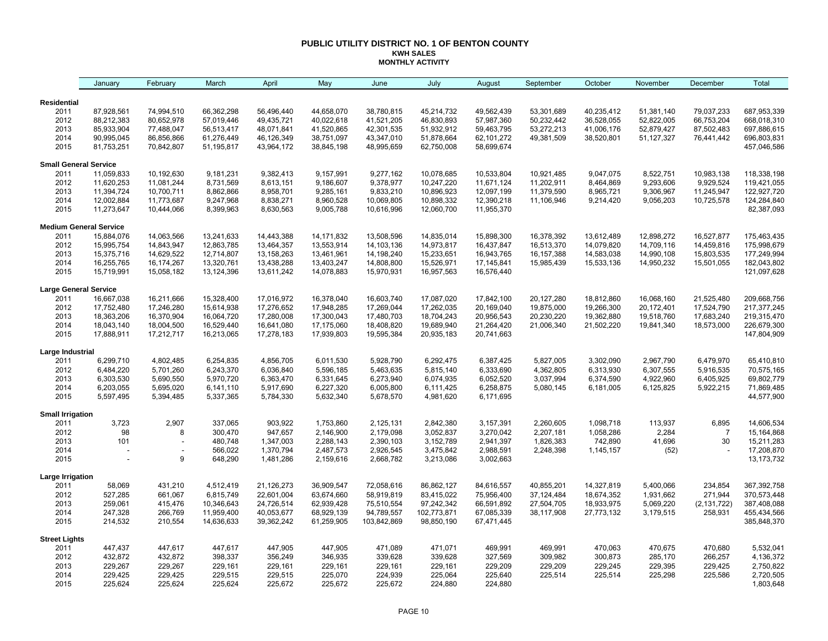#### **PUBLIC UTILITY DISTRICT NO. 1 OF BENTON COUNTY KWH SALES MONTHLY ACTIVITY**

|                                 | January                       | February       | March              | April                  | May                    | June                   | July                   | August                 | September  | October    | November     | December       | Total                      |
|---------------------------------|-------------------------------|----------------|--------------------|------------------------|------------------------|------------------------|------------------------|------------------------|------------|------------|--------------|----------------|----------------------------|
| <b>Residential</b>              |                               |                |                    |                        |                        |                        |                        |                        |            |            |              |                |                            |
| 2011                            | 87,928,561                    | 74,994,510     | 66,362,298         | 56,496,440             | 44,658,070             | 38,780,815             | 45,214,732             | 49,562,439             | 53,301,689 | 40,235,412 | 51,381,140   | 79,037,233     | 687,953,339                |
| 2012                            | 88,212,383                    | 80,652,978     | 57,019,446         | 49,435,721             | 40,022,618             | 41,521,205             | 46,830,893             | 57,987,360             | 50,232,442 | 36,528,055 | 52,822,005   | 66,753,204     | 668,018,310                |
| 2013                            | 85,933,904                    | 77,488,047     | 56,513,417         | 48,071,841             | 41,520,865             | 42,301,535             | 51,932,912             | 59,463,795             | 53,272,213 | 41,006,176 | 52,879,427   | 87,502,483     | 697,886,615                |
| 2014                            | 90,995,045                    | 86,856,866     | 61,276,449         | 46,126,349             | 38,751,097             | 43,347,010             | 51,878,664             | 62,101,272             | 49,381,509 | 38,520,801 | 51, 127, 327 | 76,441,442     | 696,803,831                |
| 2015                            | 81,753,251                    | 70,842,807     | 51,195,817         | 43,964,172             | 38,845,198             | 48,995,659             | 62,750,008             | 58,699,674             |            |            |              |                | 457,046,586                |
| <b>Small General Service</b>    |                               |                |                    |                        |                        |                        |                        |                        |            |            |              |                |                            |
| 2011                            | 11,059,833                    | 10,192,630     | 9,181,231          | 9,382,413              | 9,157,991              | 9,277,162              | 10,078,685             | 10,533,804             | 10,921,485 | 9,047,075  | 8,522,751    | 10,983,138     | 118,338,198                |
| 2012                            | 11,620,253                    | 11,081,244     | 8,731,569          | 8,613,151              | 9,186,607              | 9,378,977              | 10,247,220             | 11,671,124             | 11,202,911 | 8,464,869  | 9,293,606    | 9,929,524      | 119,421,055                |
| 2013                            | 11,394,724                    | 10,700,711     | 8,862,866          | 8,958,701              | 9,285,161              | 9,833,210              | 10,896,923             | 12,097,199             | 11,379,590 | 8,965,721  | 9,306,967    | 11,245,947     | 122,927,720                |
| 2014                            | 12,002,884                    | 11,773,687     | 9,247,968          | 8,838,271              | 8,960,528              | 10,069,805             | 10,898,332             | 12,390,218             | 11,106,946 | 9,214,420  | 9,056,203    | 10,725,578     | 124,284,840                |
| 2015                            | 11,273,647                    | 10,444,066     | 8,399,963          | 8,630,563              | 9,005,788              | 10,616,996             | 12,060,700             | 11,955,370             |            |            |              |                | 82,387,093                 |
|                                 | <b>Medium General Service</b> |                |                    |                        |                        |                        |                        |                        |            |            |              |                |                            |
| 2011                            | 15,884,076                    | 14,063,566     | 13,241,633         | 14,443,388             | 14, 171, 832           | 13,508,596             | 14,835,014             | 15,898,300             | 16,378,392 | 13,612,489 | 12,898,272   | 16,527,877     | 175,463,435                |
| 2012                            | 15,995,754                    | 14,843,947     | 12,863,785         | 13,464,357             | 13,553,914             | 14,103,136             | 14,973,817             | 16,437,847             | 16,513,370 | 14,079,820 | 14,709,116   | 14,459,816     | 175,998,679                |
| 2013                            | 15,375,716                    | 14,629,522     | 12,714,807         | 13,158,263             | 13,461,961             | 14,198,240             | 15,233,651             | 16,943,765             | 16,157,388 | 14,583,038 | 14,990,108   | 15,803,535     | 177,249,994                |
| 2014                            | 16,255,765                    | 16,174,267     | 13,320,761         | 13,438,288             | 13,403,247             | 14,808,800             | 15,526,971             | 17,145,841             | 15,985,439 | 15,533,136 | 14,950,232   | 15,501,055     | 182,043,802                |
| 2015                            | 15,719,991                    | 15,058,182     | 13,124,396         | 13,611,242             | 14,078,883             | 15,970,931             | 16,957,563             | 16,576,440             |            |            |              |                | 121,097,628                |
| <b>Large General Service</b>    |                               |                |                    |                        |                        |                        |                        |                        |            |            |              |                |                            |
| 2011                            | 16,667,038                    | 16,211,666     | 15,328,400         | 17,016,972             | 16,378,040             | 16,603,740             | 17,087,020             | 17,842,100             | 20,127,280 | 18,812,860 | 16,068,160   | 21,525,480     | 209,668,756                |
| 2012                            | 17,752,480                    | 17,246,280     | 15,614,938         | 17,276,652             | 17,948,285             | 17,269,044             | 17,262,035             | 20,169,040             | 19,875,000 | 19,266,300 | 20,172,401   | 17,524,790     | 217, 377, 245              |
| 2013                            | 18,363,206                    | 16,370,904     | 16,064,720         | 17,280,008             | 17,300,043             | 17,480,703             | 18,704,243             | 20,956,543             | 20,230,220 | 19,362,880 | 19,518,760   | 17,683,240     | 219,315,470                |
| 2014                            | 18,043,140                    | 18,004,500     | 16,529,440         | 16,641,080             | 17,175,060             | 18,408,820             | 19,689,940             | 21,264,420             | 21,006,340 | 21,502,220 | 19,841,340   | 18,573,000     | 226,679,300                |
| 2015                            | 17,888,911                    | 17,212,717     | 16,213,065         | 17,278,183             | 17,939,803             | 19,595,384             | 20,935,183             | 20,741,663             |            |            |              |                | 147,804,909                |
| Large Industrial                |                               |                |                    |                        |                        |                        |                        |                        |            |            |              |                |                            |
| 2011                            | 6,299,710                     | 4,802,485      | 6,254,835          | 4,856,705              | 6,011,530              | 5,928,790              | 6,292,475              | 6,387,425              | 5,827,005  | 3,302,090  | 2,967,790    | 6,479,970      | 65,410,810                 |
| 2012                            | 6,484,220                     | 5,701,260      | 6,243,370          | 6,036,840              | 5,596,185              | 5,463,635              | 5,815,140              | 6,333,690              | 4,362,805  | 6,313,930  | 6,307,555    | 5,916,535      | 70,575,165                 |
| 2013                            | 6,303,530                     | 5,690,550      | 5,970,720          | 6,363,470              | 6,331,645              | 6,273,940              | 6,074,935              | 6,052,520              | 3,037,994  | 6,374,590  | 4,922,960    | 6,405,925      | 69,802,779                 |
| 2014                            | 6,203,055                     | 5,695,020      | 6,141,110          | 5,917,690              | 6,227,320              | 6,005,800              | 6,111,425              | 6,258,875              | 5,080,145  | 6,181,005  | 6,125,825    | 5,922,215      | 71,869,485                 |
| 2015                            | 5,597,495                     | 5,394,485      | 5,337,365          | 5,784,330              | 5,632,340              | 5,678,570              | 4,981,620              | 6,171,695              |            |            |              |                | 44,577,900                 |
| <b>Small Irrigation</b><br>2011 | 3,723                         | 2,907          | 337,065            | 903,922                | 1,753,860              | 2,125,131              | 2,842,380              | 3,157,391              | 2,260,605  | 1,098,718  | 113,937      | 6,895          | 14,606,534                 |
| 2012                            | 98                            | 8              | 300,470            | 947,657                | 2,146,900              | 2,179,098              | 3,052,837              | 3,270,042              | 2,207,181  | 1,058,286  | 2,284        | $\overline{7}$ | 15,164,868                 |
|                                 |                               |                |                    |                        |                        |                        |                        |                        |            |            |              |                |                            |
| 2013                            | 101                           | $\overline{a}$ | 480,748            | 1,347,003              | 2,288,143              | 2,390,103              | 3,152,789              | 2,941,397              | 1,826,383  | 742,890    | 41,696       | 30             | 15,211,283                 |
| 2014<br>2015                    |                               | 9              | 566,022<br>648,290 | 1,370,794<br>1,481,286 | 2,487,573<br>2,159,616 | 2,926,545<br>2,668,782 | 3,475,842<br>3,213,086 | 2,988,591<br>3,002,663 | 2,248,398  | 1,145,157  | (52)         |                | 17,208,870<br>13, 173, 732 |
| Large Irrigation                |                               |                |                    |                        |                        |                        |                        |                        |            |            |              |                |                            |
| 2011                            | 58,069                        | 431,210        | 4,512,419          | 21,126,273             | 36,909,547             | 72,058,616             | 86,862,127             | 84,616,557             | 40,855,201 | 14,327,819 | 5,400,066    | 234,854        | 367,392,758                |
| 2012                            | 527,285                       | 661,067        | 6,815,749          | 22,601,004             | 63,674,660             | 58,919,819             | 83,415,022             | 75,956,400             | 37,124,484 | 18,674,352 | 1,931,662    | 271,944        | 370,573,448                |
| 2013                            | 259,061                       | 415,476        | 10,346,643         | 24,726,514             | 62,939,428             | 75,510,554             | 97,242,342             | 66,591,892             | 27,504,705 | 18,933,975 | 5,069,220    | (2, 131, 722)  | 387,408,088                |
| 2014                            | 247,328                       | 266,769        | 11,959,400         | 40,053,677             | 68,929,139             | 94,789,557             | 102,773,871            | 67,085,339             | 38,117,908 | 27,773,132 | 3,179,515    | 258,931        | 455,434,566                |
| 2015                            | 214,532                       | 210,554        | 14,636,633         | 39,362,242             | 61,259,905             | 103,842,869            | 98,850,190             | 67,471,445             |            |            |              |                | 385,848,370                |
| <b>Street Lights</b>            |                               |                |                    |                        |                        |                        |                        |                        |            |            |              |                |                            |
| 2011                            | 447,437                       | 447,617        | 447,617            | 447,905                | 447,905                | 471,089                | 471,071                | 469,991                | 469,991    | 470,063    | 470,675      | 470,680        | 5,532,041                  |
| 2012                            | 432,872                       | 432,872        | 398,337            | 356,249                | 346,935                | 339,628                | 339,628                | 327,569                | 309,982    | 300,873    | 285,170      | 266,257        | 4,136,372                  |
| 2013                            | 229,267                       | 229,267        | 229,161            | 229,161                | 229,161                | 229,161                | 229,161                | 229,209                | 229,209    | 229,245    | 229,395      | 229,425        | 2,750,822                  |
| 2014                            | 229,425                       | 229,425        | 229,515            | 229,515                | 225,070                | 224,939                | 225,064                | 225,640                | 225,514    | 225,514    | 225,298      | 225,586        | 2,720,505                  |
| 2015                            | 225,624                       | 225,624        | 225,624            | 225,672                | 225,672                | 225,672                | 224,880                | 224,880                |            |            |              |                | 1,803,648                  |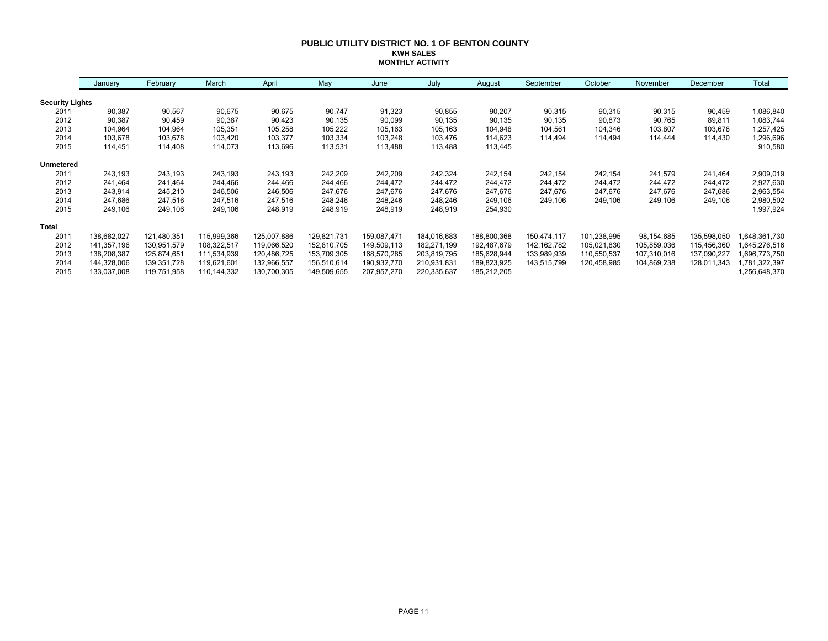#### **PUBLIC UTILITY DISTRICT NO. 1 OF BENTON COUNTY KWH SALES MONTHLY ACTIVITY**

|                        | January     | February    | March       | April       | May         | June        | July        | August      | September     | October     | November    | December    | Total         |
|------------------------|-------------|-------------|-------------|-------------|-------------|-------------|-------------|-------------|---------------|-------------|-------------|-------------|---------------|
| <b>Security Lights</b> |             |             |             |             |             |             |             |             |               |             |             |             |               |
| 2011                   | 90,387      | 90,567      | 90,675      | 90,675      | 90,747      | 91,323      | 90,855      | 90,207      | 90,315        | 90,315      | 90,315      | 90,459      | 1,086,840     |
| 2012                   | 90,387      | 90,459      | 90,387      | 90,423      | 90,135      | 90,099      | 90,135      | 90,135      | 90,135        | 90,873      | 90,765      | 89,811      | 1,083,744     |
| 2013                   | 104,964     | 104,964     | 105,351     | 105,258     | 105,222     | 105,163     | 105,163     | 104,948     | 104,561       | 104,346     | 103,807     | 103,678     | 1,257,425     |
| 2014                   | 103,678     | 103,678     | 103,420     | 103,377     | 103,334     | 103,248     | 103,476     | 114,623     | 114,494       | 114,494     | 114,444     | 114,430     | 1,296,696     |
| 2015                   | 114,451     | 114,408     | 114,073     | 113,696     | 113,531     | 113,488     | 113,488     | 113,445     |               |             |             |             | 910,580       |
| <b>Unmetered</b>       |             |             |             |             |             |             |             |             |               |             |             |             |               |
| 2011                   | 243,193     | 243,193     | 243,193     | 243,193     | 242,209     | 242,209     | 242,324     | 242,154     | 242,154       | 242,154     | 241,579     | 241,464     | 2,909,019     |
| 2012                   | 241,464     | 241,464     | 244,466     | 244,466     | 244,466     | 244,472     | 244,472     | 244,472     | 244,472       | 244,472     | 244,472     | 244,472     | 2,927,630     |
| 2013                   | 243,914     | 245,210     | 246,506     | 246,506     | 247,676     | 247,676     | 247,676     | 247,676     | 247,676       | 247,676     | 247,676     | 247,686     | 2,963,554     |
| 2014                   | 247,686     | 247,516     | 247,516     | 247,516     | 248,246     | 248,246     | 248,246     | 249,106     | 249,106       | 249,106     | 249,106     | 249,106     | 2,980,502     |
| 2015                   | 249,106     | 249,106     | 249,106     | 248,919     | 248,919     | 248,919     | 248,919     | 254,930     |               |             |             |             | 1,997,924     |
| <b>Total</b>           |             |             |             |             |             |             |             |             |               |             |             |             |               |
| 2011                   | 138,682,027 | 121,480,351 | 115,999,366 | 125,007,886 | 129,821,731 | 159,087,471 | 184,016,683 | 188,800,368 | 150,474,117   | 101,238,995 | 98,154,685  | 135,598,050 | 648,361,730   |
| 2012                   | 141,357,196 | 130,951,579 | 108,322,517 | 119,066,520 | 152,810,705 | 149,509,113 | 182,271,199 | 192,487,679 | 142, 162, 782 | 105,021,830 | 105,859,036 | 115,456,360 | 645,276,516   |
| 2013                   | 138,208,387 | 125,874,651 | 111,534,939 | 120,486,725 | 153,709,305 | 168,570,285 | 203,819,795 | 185,628,944 | 133,989,939   | 110,550,537 | 107,310,016 | 137,090,227 | 696,773,750   |
| 2014                   | 144,328,006 | 139,351,728 | 119,621,601 | 132,966,557 | 156,510,614 | 190,932,770 | 210,931,831 | 189,823,925 | 143,515,799   | 120,458,985 | 104,869,238 | 128,011,343 | ,781,322,397  |
| 2015                   | 133,037,008 | 119,751,958 | 110,144,332 | 130,700,305 | 149,509,655 | 207,957,270 | 220,335,637 | 185,212,205 |               |             |             |             | 1,256,648,370 |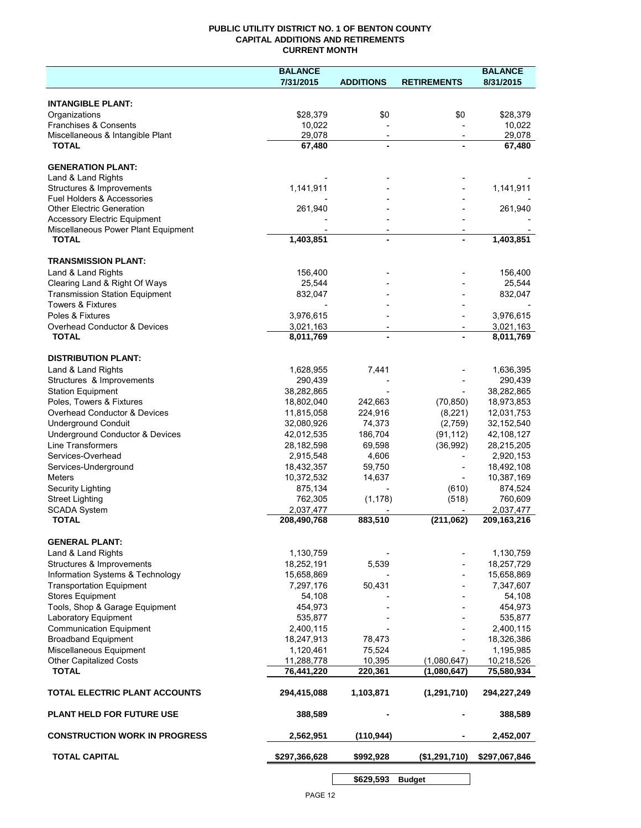### **PUBLIC UTILITY DISTRICT NO. 1 OF BENTON COUNTY CAPITAL ADDITIONS AND RETIREMENTS CURRENT MONTH**

|                                                                    | <b>BALANCE</b>           |                          |                          | <b>BALANCE</b>           |
|--------------------------------------------------------------------|--------------------------|--------------------------|--------------------------|--------------------------|
|                                                                    | 7/31/2015                | <b>ADDITIONS</b>         | <b>RETIREMENTS</b>       | 8/31/2015                |
| <b>INTANGIBLE PLANT:</b>                                           |                          |                          |                          |                          |
| Organizations                                                      | \$28,379                 | \$0                      | \$0                      | \$28,379                 |
| Franchises & Consents                                              | 10,022                   |                          |                          | 10,022                   |
| Miscellaneous & Intangible Plant                                   | 29,078                   | $\overline{\phantom{a}}$ | $\overline{\phantom{a}}$ | 29,078                   |
| <b>TOTAL</b>                                                       | 67,480                   | $\blacksquare$           |                          | 67,480                   |
|                                                                    |                          |                          |                          |                          |
| <b>GENERATION PLANT:</b>                                           |                          |                          |                          |                          |
| Land & Land Rights                                                 |                          |                          |                          |                          |
| Structures & Improvements<br><b>Fuel Holders &amp; Accessories</b> | 1,141,911                |                          |                          | 1,141,911                |
| <b>Other Electric Generation</b>                                   | 261,940                  |                          |                          | 261,940                  |
| <b>Accessory Electric Equipment</b>                                |                          |                          |                          |                          |
| Miscellaneous Power Plant Equipment                                |                          | $\overline{\phantom{a}}$ |                          |                          |
| <b>TOTAL</b>                                                       | 1,403,851                | $\blacksquare$           |                          | $\overline{1,}403,851$   |
| <b>TRANSMISSION PLANT:</b>                                         |                          |                          |                          |                          |
| Land & Land Rights                                                 | 156,400                  |                          |                          | 156,400                  |
| Clearing Land & Right Of Ways                                      | 25,544                   |                          |                          | 25,544                   |
| <b>Transmission Station Equipment</b>                              | 832,047                  |                          |                          | 832,047                  |
| <b>Towers &amp; Fixtures</b>                                       |                          |                          |                          |                          |
| Poles & Fixtures                                                   | 3,976,615                |                          |                          | 3,976,615                |
| Overhead Conductor & Devices                                       | 3,021,163                |                          |                          | 3,021,163                |
| <b>TOTAL</b>                                                       | 8,011,769                |                          |                          | 8,011,769                |
|                                                                    |                          |                          |                          |                          |
| <b>DISTRIBUTION PLANT:</b>                                         |                          |                          |                          |                          |
| Land & Land Rights                                                 | 1,628,955                | 7,441                    |                          | 1,636,395                |
| Structures & Improvements                                          | 290,439                  |                          |                          | 290,439                  |
| <b>Station Equipment</b><br>Poles, Towers & Fixtures               | 38,282,865<br>18,802,040 | 242,663                  | (70, 850)                | 38,282,865               |
| Overhead Conductor & Devices                                       | 11,815,058               | 224,916                  | (8, 221)                 | 18,973,853<br>12,031,753 |
| <b>Underground Conduit</b>                                         | 32,080,926               | 74,373                   | (2,759)                  | 32,152,540               |
| Underground Conductor & Devices                                    | 42,012,535               | 186,704                  | (91, 112)                | 42,108,127               |
| <b>Line Transformers</b>                                           | 28,182,598               | 69,598                   | (36,992)                 | 28,215,205               |
| Services-Overhead                                                  | 2,915,548                | 4,606                    |                          | 2,920,153                |
| Services-Underground                                               | 18,432,357               | 59,750                   |                          | 18,492,108               |
| Meters                                                             | 10,372,532               | 14,637                   |                          | 10,387,169               |
| Security Lighting                                                  | 875,134                  |                          | (610)                    | 874,524                  |
| <b>Street Lighting</b>                                             | 762,305                  | (1, 178)                 | (518)                    | 760,609                  |
| <b>SCADA System</b>                                                | 2,037,477                |                          |                          | 2,037,477                |
| <b>TOTAL</b>                                                       | 208,490,768              | 883,510                  | (211,062)                | 209, 163, 216            |
| <b>GENERAL PLANT:</b>                                              |                          |                          |                          |                          |
| Land & Land Rights                                                 | 1,130,759                |                          |                          | 1,130,759                |
| Structures & Improvements                                          | 18,252,191               | 5,539                    |                          | 18,257,729               |
| Information Systems & Technology                                   | 15,658,869               |                          |                          | 15,658,869               |
| <b>Transportation Equipment</b>                                    | 7,297,176                | 50,431                   |                          | 7,347,607                |
| <b>Stores Equipment</b>                                            | 54,108                   |                          |                          | 54,108                   |
| Tools, Shop & Garage Equipment                                     | 454,973                  |                          |                          | 454,973                  |
| Laboratory Equipment                                               | 535,877                  |                          |                          | 535,877                  |
| <b>Communication Equipment</b>                                     | 2,400,115                |                          |                          | 2,400,115                |
| <b>Broadband Equipment</b>                                         | 18,247,913               | 78,473                   |                          | 18,326,386               |
| Miscellaneous Equipment                                            | 1,120,461                | 75,524                   |                          | 1,195,985                |
| <b>Other Capitalized Costs</b>                                     | 11,288,778               | 10,395                   | (1,080,647)              | 10,218,526               |
| <b>TOTAL</b>                                                       | 76,441,220               | 220,361                  | (1,080,647)              | 75,580,934               |
| TOTAL ELECTRIC PLANT ACCOUNTS                                      | 294,415,088              | 1,103,871                | (1, 291, 710)            | 294,227,249              |
| <b>PLANT HELD FOR FUTURE USE</b>                                   | 388,589                  |                          |                          | 388,589                  |
| <b>CONSTRUCTION WORK IN PROGRESS</b>                               | 2,562,951                | (110, 944)               |                          | 2,452,007                |
| <b>TOTAL CAPITAL</b>                                               | \$297,366,628            | \$992,928                | (\$1,291,710)            | \$297,067,846            |
|                                                                    |                          | \$629,593                | <b>Budget</b>            |                          |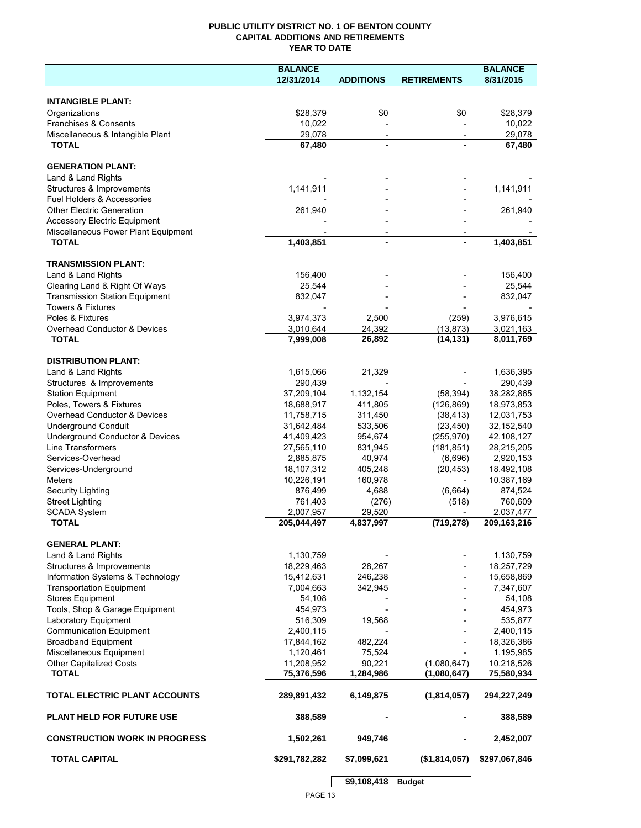## **PUBLIC UTILITY DISTRICT NO. 1 OF BENTON COUNTY CAPITAL ADDITIONS AND RETIREMENTS YEAR TO DATE**

|                                                     | <b>BALANCE</b> |                          |                          | <b>BALANCE</b> |
|-----------------------------------------------------|----------------|--------------------------|--------------------------|----------------|
|                                                     | 12/31/2014     | <b>ADDITIONS</b>         | <b>RETIREMENTS</b>       | 8/31/2015      |
|                                                     |                |                          |                          |                |
| <b>INTANGIBLE PLANT:</b>                            |                |                          |                          |                |
| Organizations                                       | \$28,379       | \$0                      | \$0                      | \$28,379       |
| Franchises & Consents                               | 10,022         |                          |                          | 10,022         |
| Miscellaneous & Intangible Plant                    | 29,078         | $\overline{\phantom{a}}$ | $\overline{\phantom{a}}$ | 29.078         |
| <b>TOTAL</b>                                        | 67,480         |                          |                          | 67,480         |
|                                                     |                |                          |                          |                |
| <b>GENERATION PLANT:</b>                            |                |                          |                          |                |
| Land & Land Rights                                  |                |                          |                          |                |
| Structures & Improvements                           | 1,141,911      |                          |                          | 1,141,911      |
| Fuel Holders & Accessories                          |                |                          |                          |                |
| <b>Other Electric Generation</b>                    | 261,940        |                          |                          | 261,940        |
| <b>Accessory Electric Equipment</b>                 |                |                          |                          |                |
| Miscellaneous Power Plant Equipment<br><b>TOTAL</b> | 1,403,851      |                          |                          | 1,403,851      |
|                                                     |                |                          |                          |                |
| <b>TRANSMISSION PLANT:</b>                          |                |                          |                          |                |
| Land & Land Rights                                  | 156,400        |                          |                          | 156,400        |
| Clearing Land & Right Of Ways                       | 25,544         |                          |                          | 25,544         |
| <b>Transmission Station Equipment</b>               | 832,047        |                          |                          | 832,047        |
| <b>Towers &amp; Fixtures</b>                        |                |                          |                          |                |
| Poles & Fixtures                                    | 3,974,373      | 2,500                    | (259)                    | 3,976,615      |
| Overhead Conductor & Devices                        | 3,010,644      | 24,392                   | (13, 873)                | 3,021,163      |
| <b>TOTAL</b>                                        | 7,999,008      | 26,892                   | (14, 131)                | 8,011,769      |
|                                                     |                |                          |                          |                |
| <b>DISTRIBUTION PLANT:</b>                          |                |                          |                          |                |
| Land & Land Rights                                  | 1,615,066      | 21,329                   |                          | 1,636,395      |
| Structures & Improvements                           | 290,439        |                          |                          | 290,439        |
| <b>Station Equipment</b>                            | 37,209,104     | 1,132,154                | (58, 394)                | 38,282,865     |
| Poles, Towers & Fixtures                            | 18,688,917     | 411,805                  | (126, 869)               | 18,973,853     |
| Overhead Conductor & Devices                        | 11,758,715     | 311,450                  | (38, 413)                | 12,031,753     |
| <b>Underground Conduit</b>                          | 31,642,484     | 533,506                  | (23, 450)                | 32,152,540     |
| Underground Conductor & Devices                     | 41,409,423     | 954,674                  | (255, 970)               | 42,108,127     |
| Line Transformers                                   | 27,565,110     | 831,945                  | (181, 851)               | 28,215,205     |
| Services-Overhead                                   | 2,885,875      | 40,974                   | (6,696)                  | 2,920,153      |
| Services-Underground                                | 18,107,312     | 405,248                  | (20, 453)                | 18,492,108     |
| Meters                                              | 10,226,191     | 160,978                  |                          | 10,387,169     |
| Security Lighting                                   | 876,499        | 4,688                    | (6,664)                  | 874,524        |
| <b>Street Lighting</b>                              | 761,403        | (276)                    | (518)                    | 760,609        |
| <b>SCADA System</b>                                 | 2,007,957      | 29,520                   |                          | 2,037,477      |
| <b>TOTAL</b>                                        | 205,044,497    | 4,837,997                | (719, 278)               | 209,163,216    |
|                                                     |                |                          |                          |                |
| <b>GENERAL PLANT:</b>                               |                |                          |                          |                |
| Land & Land Rights                                  | 1,130,759      |                          |                          | 1,130,759      |
| Structures & Improvements                           | 18,229,463     | 28,267                   |                          | 18,257,729     |
| Information Systems & Technology                    | 15,412,631     | 246,238                  |                          | 15,658,869     |
| <b>Transportation Equipment</b>                     | 7,004,663      | 342,945                  |                          | 7,347,607      |
| <b>Stores Equipment</b>                             | 54,108         |                          |                          | 54,108         |
| Tools, Shop & Garage Equipment                      | 454,973        |                          |                          | 454,973        |
| Laboratory Equipment                                | 516,309        | 19,568                   |                          | 535,877        |
| <b>Communication Equipment</b>                      | 2,400,115      |                          |                          | 2,400,115      |
| <b>Broadband Equipment</b>                          | 17,844,162     | 482,224                  |                          | 18,326,386     |
| Miscellaneous Equipment                             | 1,120,461      | 75,524                   |                          | 1,195,985      |
| Other Capitalized Costs                             | 11,208,952     | 90.221                   | (1,080,647)              | 10,218,526     |
| <b>TOTAL</b>                                        | 75,376,596     | 1,284,986                | (1,080,647)              | 75,580,934     |
|                                                     |                |                          |                          |                |
| TOTAL ELECTRIC PLANT ACCOUNTS                       | 289,891,432    | 6,149,875                | (1,814,057)              | 294,227,249    |
|                                                     |                |                          |                          |                |
| <b>PLANT HELD FOR FUTURE USE</b>                    | 388,589        |                          |                          | 388,589        |
|                                                     |                |                          |                          |                |
| <b>CONSTRUCTION WORK IN PROGRESS</b>                | 1,502,261      | 949,746                  |                          | 2,452,007      |
|                                                     |                |                          |                          |                |
| <b>TOTAL CAPITAL</b>                                | \$291,782,282  | \$7,099,621              | (\$1,814,057)            | \$297,067,846  |
|                                                     |                |                          |                          |                |
|                                                     |                | \$9,108,418              | <b>Budget</b>            |                |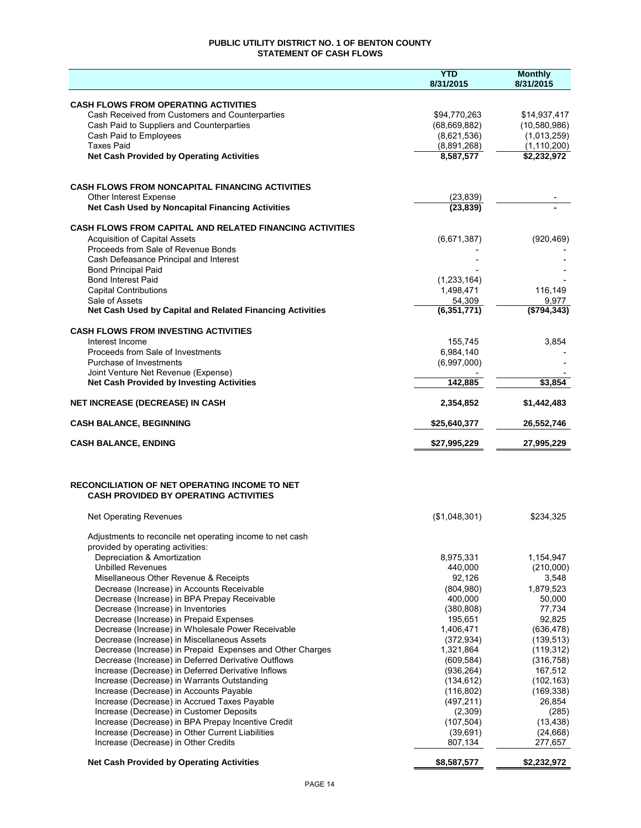## **PUBLIC UTILITY DISTRICT NO. 1 OF BENTON COUNTY STATEMENT OF CASH FLOWS**

|                                                                                                      | <b>YTD</b><br>8/31/2015  | <b>Monthly</b><br>8/31/2015  |
|------------------------------------------------------------------------------------------------------|--------------------------|------------------------------|
| <b>CASH FLOWS FROM OPERATING ACTIVITIES</b>                                                          |                          |                              |
| Cash Received from Customers and Counterparties                                                      | \$94,770,263             | \$14,937,417                 |
| Cash Paid to Suppliers and Counterparties                                                            | (68, 669, 882)           | (10,580,986)                 |
| Cash Paid to Employees                                                                               | (8,621,536)              | (1,013,259)                  |
| <b>Taxes Paid</b><br><b>Net Cash Provided by Operating Activities</b>                                | (8,891,268)<br>8,587,577 | (1, 110, 200)<br>\$2,232,972 |
|                                                                                                      |                          |                              |
| <b>CASH FLOWS FROM NONCAPITAL FINANCING ACTIVITIES</b>                                               |                          |                              |
| Other Interest Expense<br>Net Cash Used by Noncapital Financing Activities                           | (23, 839)<br>(23, 839)   |                              |
| CASH FLOWS FROM CAPITAL AND RELATED FINANCING ACTIVITIES                                             |                          |                              |
| <b>Acquisition of Capital Assets</b>                                                                 | (6,671,387)              | (920, 469)                   |
| Proceeds from Sale of Revenue Bonds                                                                  |                          |                              |
| Cash Defeasance Principal and Interest<br><b>Bond Principal Paid</b>                                 |                          |                              |
| <b>Bond Interest Paid</b>                                                                            | (1, 233, 164)            |                              |
| <b>Capital Contributions</b>                                                                         | 1,498,471                | 116,149                      |
| Sale of Assets                                                                                       | 54,309<br>(6,351,771)    | 9,977<br>(5794, 343)         |
| Net Cash Used by Capital and Related Financing Activities                                            |                          |                              |
| <b>CASH FLOWS FROM INVESTING ACTIVITIES</b><br>Interest Income                                       | 155.745                  | 3,854                        |
| Proceeds from Sale of Investments                                                                    | 6,984,140                |                              |
| Purchase of Investments                                                                              | (6,997,000)              |                              |
| Joint Venture Net Revenue (Expense)<br><b>Net Cash Provided by Investing Activities</b>              | 142,885                  | \$3,854                      |
| <b>NET INCREASE (DECREASE) IN CASH</b>                                                               | 2,354,852                | \$1,442,483                  |
| <b>CASH BALANCE, BEGINNING</b>                                                                       | \$25,640,377             | 26,552,746                   |
| <b>CASH BALANCE, ENDING</b>                                                                          | \$27,995,229             | 27,995,229                   |
|                                                                                                      |                          |                              |
| <b>RECONCILIATION OF NET OPERATING INCOME TO NET</b><br><b>CASH PROVIDED BY OPERATING ACTIVITIES</b> |                          |                              |
| <b>Net Operating Revenues</b>                                                                        | (\$1,048,301)            | \$234,325                    |
| Adjustments to reconcile net operating income to net cash                                            |                          |                              |
| provided by operating activities:<br>Depreciation & Amortization                                     | 8,975,331                | 1,154,947                    |
| <b>Unbilled Revenues</b>                                                                             | 440,000                  | (210,000)                    |
| Misellaneous Other Revenue & Receipts                                                                | 92,126                   | 3,548                        |
| Decrease (Increase) in Accounts Receivable                                                           | (804, 980)               | 1,879,523                    |
| Decrease (Increase) in BPA Prepay Receivable<br>Decrease (Increase) in Inventories                   | 400.000<br>(380, 808)    | 50,000<br>77,734             |
| Decrease (Increase) in Prepaid Expenses                                                              | 195,651                  | 92,825                       |
| Decrease (Increase) in Wholesale Power Receivable                                                    | 1,406,471                | (636, 478)                   |
| Decrease (Increase) in Miscellaneous Assets                                                          | (372, 934)               | (139, 513)                   |
| Decrease (Increase) in Prepaid Expenses and Other Charges                                            | 1,321,864                | (119, 312)                   |
| Decrease (Increase) in Deferred Derivative Outflows                                                  | (609, 584)               | (316, 758)                   |
| Increase (Decrease) in Deferred Derivative Inflows                                                   | (936, 264)               | 167,512                      |
| Increase (Decrease) in Warrants Outstanding<br>Increase (Decrease) in Accounts Payable               | (134, 612)<br>(116, 802) | (102, 163)<br>(169, 338)     |
| Increase (Decrease) in Accrued Taxes Payable                                                         | (497, 211)               | 26,854                       |
| Increase (Decrease) in Customer Deposits                                                             | (2,309)                  | (285)                        |
| Increase (Decrease) in BPA Prepay Incentive Credit                                                   | (107, 504)               | (13, 438)                    |
| Increase (Decrease) in Other Current Liabilities                                                     | (39,691)                 | (24, 668)                    |
| Increase (Decrease) in Other Credits                                                                 | 807,134                  | 277,657                      |
| <b>Net Cash Provided by Operating Activities</b>                                                     | \$8,587,577              | \$2,232,972                  |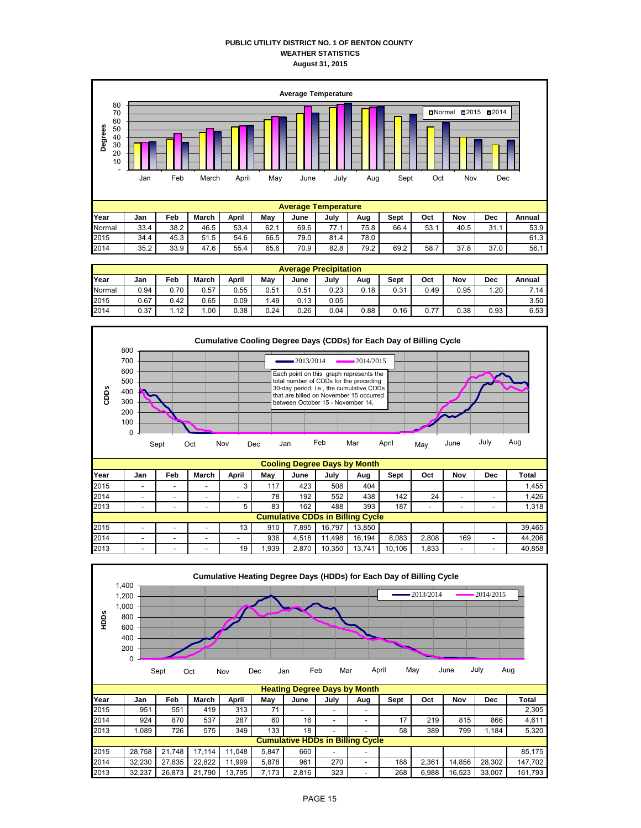#### **PUBLIC UTILITY DISTRICT NO. 1 OF BENTON COUNTY WEATHER STATISTICS August 31, 2015**



|        | <b>Average Precipitation</b> |      |       |       |      |      |      |      |      |      |      |      |        |
|--------|------------------------------|------|-------|-------|------|------|------|------|------|------|------|------|--------|
| Year   | Jan                          | Feb  | March | April | Mav  | June | July | Aug  | Sept | Oct  | Nov  | Dec  | Annual |
| Normal | 0.94                         | 0.70 | 0.57  | 0.55  | 0.51 | 0.51 | 0.23 | 0.18 | 0.31 | 0.49 | 0.95 | .20  | 7.14   |
| 2015   | 0.67                         | 0.42 | 0.65  | 0.09  | .49  | 0.13 | 0.05 |      |      |      |      |      | 3.50   |
| 2014   | 0.37                         | 1.12 | .00،  | 0.38  | 0.24 | 0.26 | 0.04 | 0.88 | 0.16 | 0.77 | 0.38 | 0.93 | 6.53   |



| <b>Cumulative CDDs in Billing Cycle</b> |   |   |    |      |       |        |        |        |       |     |                          |        |
|-----------------------------------------|---|---|----|------|-------|--------|--------|--------|-------|-----|--------------------------|--------|
| -                                       | - | - |    | 910  | .895  | 16.797 | 13.850 |        |       |     |                          | 39.465 |
| -                                       | - | - | -  | 936  | 4.518 | .498   | 16.194 | 8.083  | 2.808 | 169 | -                        | 44.206 |
| -                                       | - | - | 19 | .939 | 2.870 | 10.350 | 13.741 | 10.106 | 1.833 | -   | $\overline{\phantom{0}}$ | 40.858 |
|                                         |   |   |    |      |       |        |        |        |       |     |                          |        |

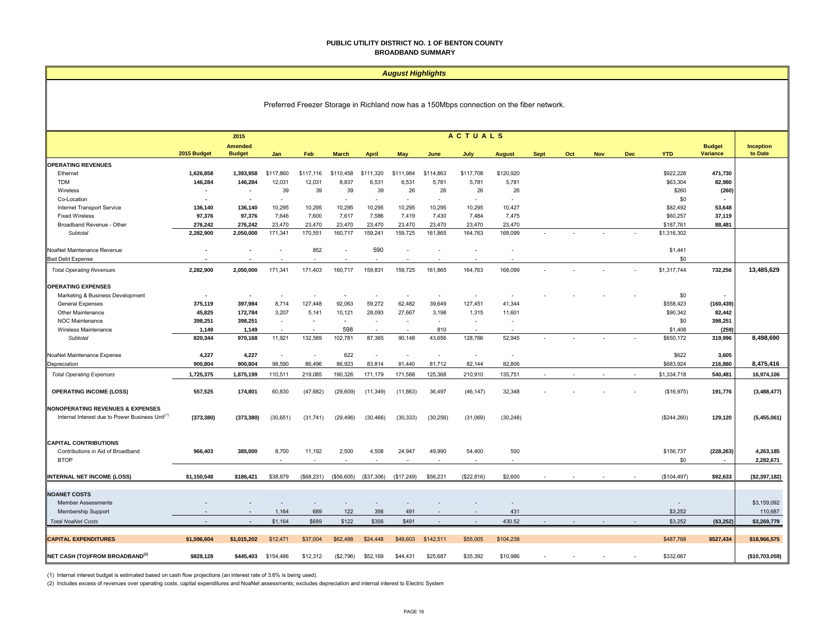#### **PUBLIC UTILITY DISTRICT NO. 1 OF BENTON COUNTY BROADBAND SUMMARY**

#### *August Highlights*

Preferred Freezer Storage in Richland now has a 150Mbps connection on the fiber network.

|                                                                   |                | 2015                     |           |            |              |                          |                          |                          | <b>ACTUALS</b>           |                          |             |     |     |            |             |                                        |                |
|-------------------------------------------------------------------|----------------|--------------------------|-----------|------------|--------------|--------------------------|--------------------------|--------------------------|--------------------------|--------------------------|-------------|-----|-----|------------|-------------|----------------------------------------|----------------|
|                                                                   |                | <b>Amended</b>           |           |            |              |                          |                          |                          |                          |                          |             |     |     |            |             | <b>Budget</b>                          | Inception      |
|                                                                   | 2015 Budget    | <b>Budget</b>            | Jan       | Feb        | <b>March</b> | <b>April</b>             | May                      | June                     | July                     | <b>August</b>            | <b>Sept</b> | Oct | Nov | <b>Dec</b> | <b>YTD</b>  | Variance                               | to Date        |
| <b>OPERATING REVENUES</b>                                         |                |                          |           |            |              |                          |                          |                          |                          |                          |             |     |     |            |             |                                        |                |
| Ethernet                                                          | 1,626,858      | 1,393,958                | \$117,860 | \$117,116  | \$110,458    | \$111,320                | \$111,984                | \$114,863                | \$117,708                | \$120,920                |             |     |     |            | \$922,228   | 471,730                                |                |
| <b>TDM</b>                                                        | 146,284        | 146,284                  | 12,031    | 12,031     | 8,837        | 6,531                    | 6,531                    | 5,781                    | 5,781                    | 5,781                    |             |     |     |            | \$63,304    | 82,980                                 |                |
| Wireless                                                          | ٠              | $\sim$                   | 39        | 39         | 39           | 39                       | 26                       | 26                       | 26                       | 26                       |             |     |     |            | \$260       | (260)                                  |                |
| Co-Location                                                       |                |                          | $\sim$    |            | $\sim$       | $\overline{\phantom{0}}$ | ٠                        | $\overline{\phantom{a}}$ | $\overline{\phantom{0}}$ | ٠                        |             |     |     |            | \$0         |                                        |                |
| Internet Transport Service                                        | 136,140        | 136,140                  | 10,295    | 10,295     | 10,295       | 10,295                   | 10,295                   | 10,295                   | 10,295                   | 10,427                   |             |     |     |            | \$82,492    | 53,648                                 |                |
| <b>Fixed Wireless</b>                                             | 97,376         | 97,376                   | 7,646     | 7,600      | 7,617        | 7,586                    | 7,419                    | 7,430                    | 7,484                    | 7,475                    |             |     |     |            | \$60,257    | 37,119                                 |                |
| Broadband Revenue - Other                                         | 276,242        | 276,242                  | 23,470    | 23,470     | 23,470       | 23,470                   | 23,470                   | 23,470                   | 23,470                   | 23,470                   |             |     |     |            | \$187,761   | 88,481                                 |                |
| Subtotal                                                          | 2,282,900      | 2,050,000                | 171,341   | 170,551    | 160,717      | 159,241                  | 159,725                  | 161,865                  | 164,763                  | 168,099                  |             |     |     |            | \$1,316,302 |                                        |                |
| NoaNet Maintenance Revenue                                        |                |                          |           | 852        | $\sim$       | 590                      | ÷                        |                          |                          | ٠                        |             |     |     |            | \$1,441     |                                        |                |
| <b>Bad Debt Expense</b>                                           |                |                          |           |            |              |                          |                          |                          |                          |                          |             |     |     |            | \$0         |                                        |                |
| <b>Total Operating Revenues</b>                                   | 2,282,900      | 2,050,000                | 171,341   | 171,403    | 160,717      | 159,831                  | 159,725                  | 161,865                  | 164,763                  | 168,099                  |             |     |     |            | \$1,317,744 | 732,256                                | 13,485,629     |
| <b>OPERATING EXPENSES</b>                                         |                |                          |           |            |              |                          |                          |                          |                          |                          |             |     |     |            |             |                                        |                |
| Marketing & Business Development                                  | $\blacksquare$ | $\overline{\phantom{a}}$ |           |            |              |                          |                          |                          |                          |                          |             |     |     |            | \$0         |                                        |                |
| <b>General Expenses</b>                                           | 375,119        | 397,984                  | 8,714     | 127,448    | 92,063       | 59,272                   | 62,482                   | 39,649                   | 127,451                  | 41,344                   |             |     |     |            | \$558,423   | (160, 439)                             |                |
| Other Maintenance                                                 | 45,825         | 172,784                  | 3,207     | 5,141      | 10,121       | 28,093                   | 27,667                   | 3,198                    | 1,315                    | 11,601                   |             |     |     |            | \$90,342    | 82,442                                 |                |
| <b>NOC Maintenance</b>                                            | 398,251        | 398,251                  | $\sim$    | ٠          | $\sim$       | $\sim$                   |                          |                          | ÷                        |                          |             |     |     |            | \$0         | 398,251                                |                |
| Wireless Maintenance                                              | 1,149          | 1,149                    |           | ٠          | 598          | $\overline{\phantom{a}}$ | $\overline{\phantom{a}}$ | 810                      |                          |                          |             |     |     |            | \$1,408     | (259)                                  |                |
| Subtotal                                                          | 820,344        | 970,168                  | 11,921    | 132,589    | 102,781      | 87,365                   | 90,148                   | 43,656                   | 128,766                  | 52,945                   |             |     |     |            | \$650,172   | 319,996                                | 8,498,690      |
|                                                                   | 4,227          | 4,227                    | $\sim$    | $\sim$     | 622          | $\sim$                   | $\sim$                   | $\sim$                   | $\sim$                   | $\overline{\phantom{a}}$ |             |     |     |            | \$622       | 3,605                                  |                |
| NoaNet Maintenance Expense                                        |                |                          |           | 86,496     |              |                          | 81,440                   | 81,712                   | 82,144                   | 82,806                   |             |     |     |            |             |                                        |                |
| Depreciation                                                      | 900,804        | 900,804                  | 98,590    |            | 86,923       | 83,814                   |                          |                          |                          |                          |             |     |     |            | \$683,924   | 216,880                                | 8,475,416      |
| <b>Total Operating Expenses</b>                                   | 1,725,375      | 1,875,199                | 110,511   | 219,085    | 190,326      | 171,179                  | 171,588                  | 125,368                  | 210,910                  | 135,751                  |             |     |     |            | \$1,334,718 | 540,481                                | 16,974,106     |
| <b>OPERATING INCOME (LOSS)</b>                                    | 557,525        | 174,801                  | 60,830    | (47, 682)  | (29, 609)    | (11, 349)                | (11, 863)                | 36,497                   | (46, 147)                | 32,348                   |             |     |     |            | (\$16,975)  | 191,776                                | (3,488,477)    |
|                                                                   |                |                          |           |            |              |                          |                          |                          |                          |                          |             |     |     |            |             |                                        |                |
| <b>NONOPERATING REVENUES &amp; EXPENSES</b>                       |                |                          |           |            |              |                          |                          |                          |                          |                          |             |     |     |            |             |                                        |                |
| Internal Interest due to Power Business Unit <sup>(1</sup>        | (373, 380)     | (373, 380)               | (30,651)  | (31, 741)  | (29, 496)    | (30, 466)                | (30, 333)                | (30, 256)                | (31,069)                 | (30, 248)                |             |     |     |            | (\$244,260) | 129,120                                | (5,455,061)    |
|                                                                   |                |                          |           |            |              |                          |                          |                          |                          |                          |             |     |     |            |             |                                        |                |
|                                                                   |                |                          |           |            |              |                          |                          |                          |                          |                          |             |     |     |            |             |                                        |                |
| <b>CAPITAL CONTRIBUTIONS</b><br>Contributions in Aid of Broadband | 966,403        | 385,000                  | 8,700     | 11,192     | 2,500        | 4,508                    | 24,947                   | 49,990                   | 54,400                   | 500                      |             |     |     |            | \$156,737   |                                        |                |
| <b>BTOP</b>                                                       |                |                          |           |            | $\sim$       |                          |                          |                          | $\sim$                   |                          |             |     |     |            | \$0         | (228, 263)<br>$\overline{\phantom{a}}$ | 4,263,185      |
|                                                                   |                |                          |           |            |              |                          |                          |                          |                          |                          |             |     |     |            |             |                                        | 2,282,671      |
| <b>INTERNAL NET INCOME (LOSS)</b>                                 | \$1,150,548    | \$186,421                | \$38,879  | (\$68,231) | (\$56,605)   | (\$37,306)               | (\$17,249)               | \$56,231                 | (\$22,816)               | \$2,600                  |             |     |     |            | (\$104,497) | \$92,633                               | (\$2,397,182)  |
|                                                                   |                |                          |           |            |              |                          |                          |                          |                          |                          |             |     |     |            |             |                                        |                |
| <b>NOANET COSTS</b>                                               |                |                          |           |            |              |                          |                          |                          |                          |                          |             |     |     |            |             |                                        |                |
| <b>Member Assessments</b>                                         |                |                          |           |            |              |                          |                          |                          |                          |                          |             |     |     |            |             |                                        | \$3,159,092    |
| <b>Membership Support</b>                                         |                |                          | 1,164     | 689        | 122          | 356                      | 491                      |                          |                          | 431                      |             |     |     |            | \$3,252     |                                        | 110,687        |
| <b>Total NoaNet Costs</b>                                         | $\sim$         | $\sim$                   | \$1,164   | \$689      | \$122        | \$356                    | \$491                    | $\sim$                   | $\sim$                   | 430.52                   | $\sim$      |     |     |            | \$3,252     | ( \$3,252)                             | \$3,269,779    |
|                                                                   |                |                          |           |            |              |                          |                          |                          |                          |                          |             |     |     |            |             |                                        |                |
| <b>CAPITAL EXPENDITURES</b>                                       | \$1,596,604    | \$1.015.202              | \$12,471  | \$37,004   | \$62,488     | \$24,448                 | \$49,603                 | \$142,511                | \$55,005                 | \$104,238                |             |     |     |            | \$487,768   | \$527,434                              | \$18,966,575   |
| NET CASH (TO)/FROM BROADBAND <sup>(2)</sup>                       | \$828,128      | \$445,403                | \$154,486 | \$12,312   | (\$2,796)    | \$52,169                 | \$44,431                 | \$25,687                 | \$35,392                 | \$10,986                 |             |     |     |            | \$332,667   |                                        | (\$10,703,059) |

(1) Internal interest budget is estimated based on cash flow projections (an interest rate of 3.6% is being used).

(2) Includes excess of revenues over operating costs, capital expenditures and NoaNet assessments; excludes depreciation and internal interest to Electric System